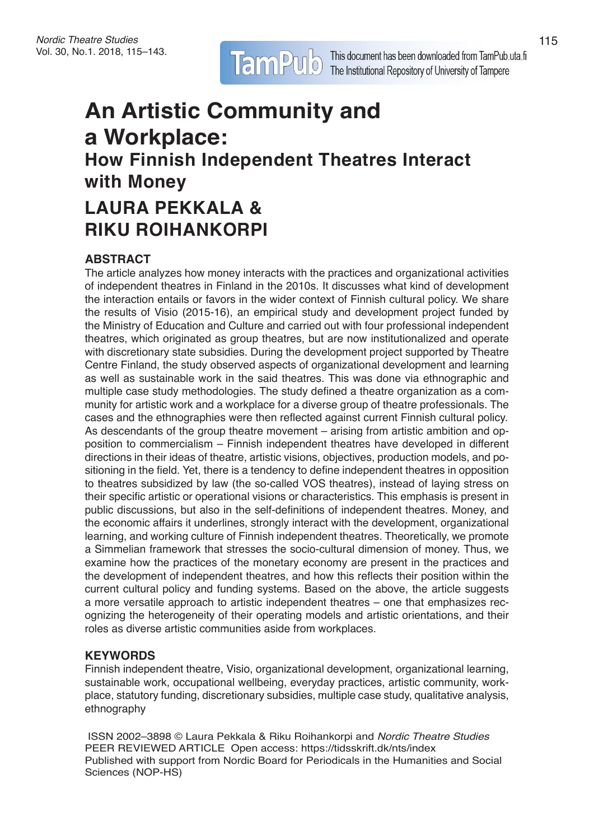# **An Artistic Community and a Workplace: How Finnish Independent Theatres Interact with Money LAURA PEKKALA & RIKU ROIHANKORPI**

# **ABSTRACT**

The article analyzes how money interacts with the practices and organizational activities of independent theatres in Finland in the 2010s. It discusses what kind of development the interaction entails or favors in the wider context of Finnish cultural policy. We share the results of Visio (2015-16), an empirical study and development project funded by the Ministry of Education and Culture and carried out with four professional independent theatres, which originated as group theatres, but are now institutionalized and operate with discretionary state subsidies. During the development project supported by Theatre Centre Finland, the study observed aspects of organizational development and learning as well as sustainable work in the said theatres. This was done via ethnographic and multiple case study methodologies. The study defined a theatre organization as a community for artistic work and a workplace for a diverse group of theatre professionals. The cases and the ethnographies were then reflected against current Finnish cultural policy. As descendants of the group theatre movement – arising from artistic ambition and opposition to commercialism – Finnish independent theatres have developed in different directions in their ideas of theatre, artistic visions, objectives, production models, and positioning in the field. Yet, there is a tendency to define independent theatres in opposition to theatres subsidized by law (the so-called VOS theatres), instead of laying stress on their specific artistic or operational visions or characteristics. This emphasis is present in public discussions, but also in the self-definitions of independent theatres. Money, and the economic affairs it underlines, strongly interact with the development, organizational learning, and working culture of Finnish independent theatres. Theoretically, we promote a Simmelian framework that stresses the socio-cultural dimension of money. Thus, we examine how the practices of the monetary economy are present in the practices and the development of independent theatres, and how this reflects their position within the current cultural policy and funding systems. Based on the above, the article suggests a more versatile approach to artistic independent theatres – one that emphasizes recognizing the heterogeneity of their operating models and artistic orientations, and their roles as diverse artistic communities aside from workplaces.

## **KEYWORDS**

Finnish independent theatre, Visio, organizational development, organizational learning, sustainable work, occupational wellbeing, everyday practices, artistic community, workplace, statutory funding, discretionary subsidies, multiple case study, qualitative analysis, ethnography

ISSN 2002–3898 © Laura Pekkala & Riku Roihankorpi and *Nordic Theatre Studies*  PEER REVIEWED ARTICLE Open access: https://tidsskrift.dk/nts/index Published with support from Nordic Board for Periodicals in the Humanities and Social Sciences (NOP-HS)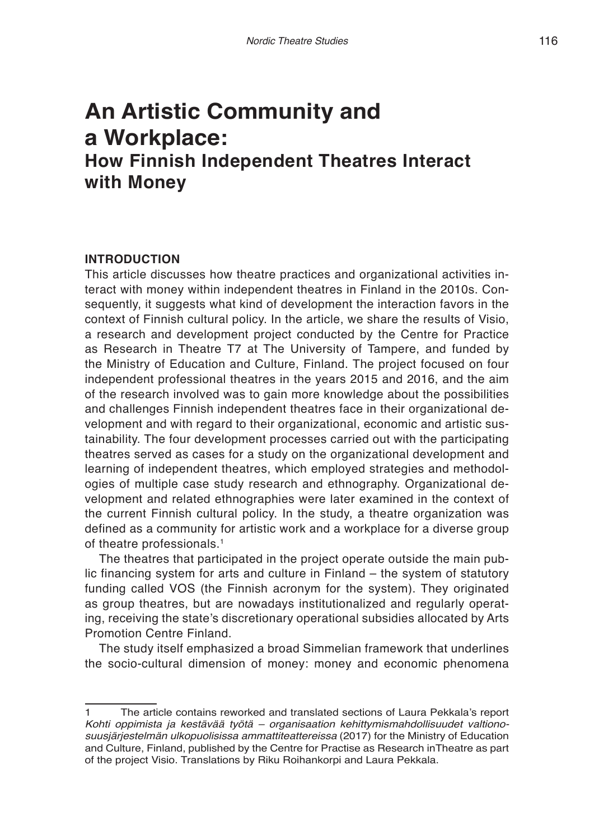# **An Artistic Community and a Workplace: How Finnish Independent Theatres Interact with Money**

# **INTRODUCTION**

This article discusses how theatre practices and organizational activities interact with money within independent theatres in Finland in the 2010s. Consequently, it suggests what kind of development the interaction favors in the context of Finnish cultural policy. In the article, we share the results of Visio, a research and development project conducted by the Centre for Practice as Research in Theatre T7 at The University of Tampere, and funded by the Ministry of Education and Culture, Finland. The project focused on four independent professional theatres in the years 2015 and 2016, and the aim of the research involved was to gain more knowledge about the possibilities and challenges Finnish independent theatres face in their organizational development and with regard to their organizational, economic and artistic sustainability. The four development processes carried out with the participating theatres served as cases for a study on the organizational development and learning of independent theatres, which employed strategies and methodologies of multiple case study research and ethnography. Organizational development and related ethnographies were later examined in the context of the current Finnish cultural policy. In the study, a theatre organization was defined as a community for artistic work and a workplace for a diverse group of theatre professionals.<sup>1</sup>

The theatres that participated in the project operate outside the main public financing system for arts and culture in Finland – the system of statutory funding called VOS (the Finnish acronym for the system). They originated as group theatres, but are nowadays institutionalized and regularly operating, receiving the state's discretionary operational subsidies allocated by Arts Promotion Centre Finland.

The study itself emphasized a broad Simmelian framework that underlines the socio-cultural dimension of money: money and economic phenomena

<sup>1</sup> The article contains reworked and translated sections of Laura Pekkala's report *Kohti oppimista ja kestävää työtä – organisaation kehittymismahdollisuudet valtionosuusjärjestelmän ulkopuolisissa ammattiteattereissa* (2017) for the Ministry of Education and Culture, Finland, published by the Centre for Practise as Research inTheatre as part of the project Visio. Translations by Riku Roihankorpi and Laura Pekkala.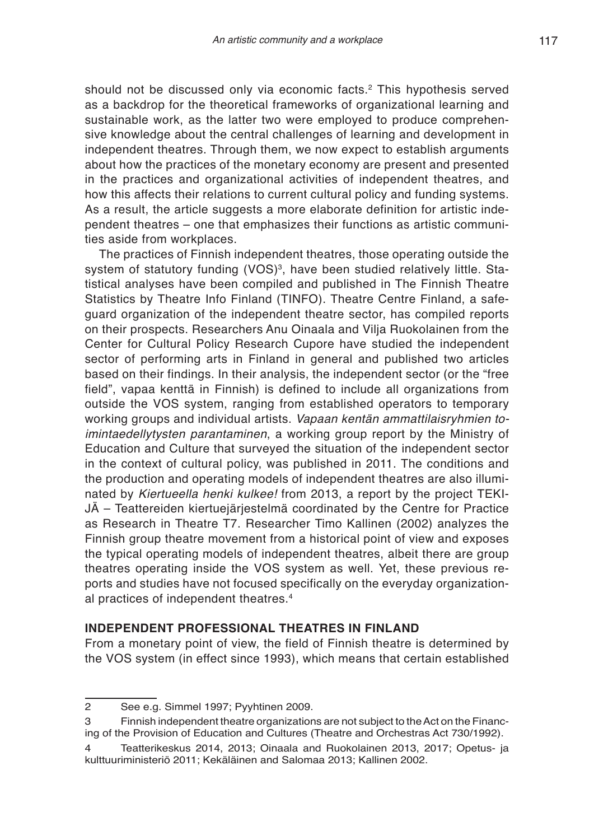should not be discussed only via economic facts.<sup>2</sup> This hypothesis served as a backdrop for the theoretical frameworks of organizational learning and sustainable work, as the latter two were employed to produce comprehensive knowledge about the central challenges of learning and development in independent theatres. Through them, we now expect to establish arguments about how the practices of the monetary economy are present and presented in the practices and organizational activities of independent theatres, and how this affects their relations to current cultural policy and funding systems. As a result, the article suggests a more elaborate definition for artistic independent theatres – one that emphasizes their functions as artistic communities aside from workplaces.

The practices of Finnish independent theatres, those operating outside the system of statutory funding (VOS)<sup>3</sup>, have been studied relatively little. Statistical analyses have been compiled and published in The Finnish Theatre Statistics by Theatre Info Finland (TINFO). Theatre Centre Finland, a safeguard organization of the independent theatre sector, has compiled reports on their prospects. Researchers Anu Oinaala and Vilja Ruokolainen from the Center for Cultural Policy Research Cupore have studied the independent sector of performing arts in Finland in general and published two articles based on their findings. In their analysis, the independent sector (or the "free field", vapaa kenttä in Finnish) is defined to include all organizations from outside the VOS system, ranging from established operators to temporary working groups and individual artists. *Vapaan kentän ammattilaisryhmien toimintaedellytysten parantaminen*, a working group report by the Ministry of Education and Culture that surveyed the situation of the independent sector in the context of cultural policy, was published in 2011. The conditions and the production and operating models of independent theatres are also illuminated by *Kiertueella henki kulkee!* from 2013, a report by the project TEKI-JÄ – Teattereiden kiertuejärjestelmä coordinated by the Centre for Practice as Research in Theatre T7. Researcher Timo Kallinen (2002) analyzes the Finnish group theatre movement from a historical point of view and exposes the typical operating models of independent theatres, albeit there are group theatres operating inside the VOS system as well. Yet, these previous reports and studies have not focused specifically on the everyday organizational practices of independent theatres.4

## **INDEPENDENT PROFESSIONAL THEATRES IN FINLAND**

From a monetary point of view, the field of Finnish theatre is determined by the VOS system (in effect since 1993), which means that certain established

<sup>2</sup> See e.g. Simmel 1997; Pyyhtinen 2009.

<sup>3</sup> Finnish independent theatre organizations are not subject to the Act on the Financing of the Provision of Education and Cultures (Theatre and Orchestras Act 730/1992).

<sup>4</sup> Teatterikeskus 2014, 2013; Oinaala and Ruokolainen 2013, 2017; Opetus- ja kulttuuriministeriö 2011; Kekäläinen and Salomaa 2013; Kallinen 2002.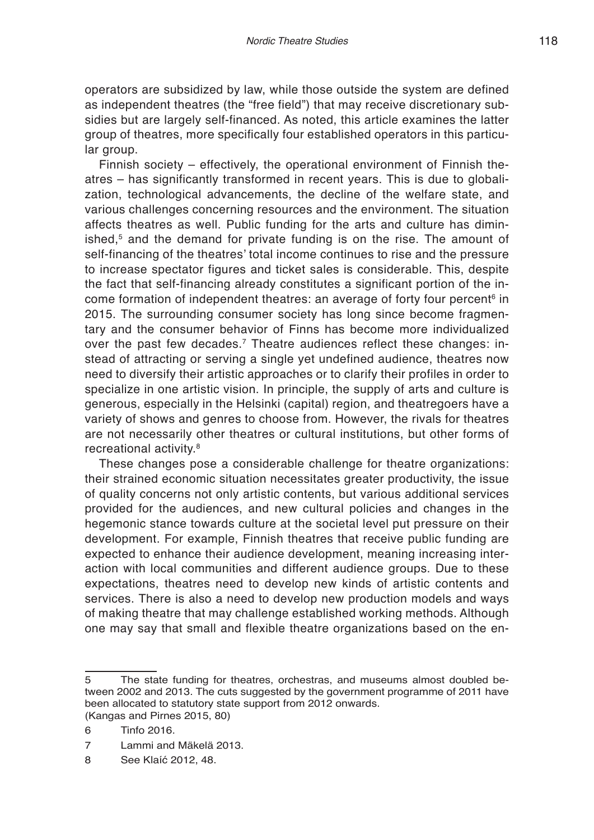operators are subsidized by law, while those outside the system are defined as independent theatres (the "free field") that may receive discretionary subsidies but are largely self-financed. As noted, this article examines the latter group of theatres, more specifically four established operators in this particular group.

Finnish society – effectively, the operational environment of Finnish theatres – has significantly transformed in recent years. This is due to globalization, technological advancements, the decline of the welfare state, and various challenges concerning resources and the environment. The situation affects theatres as well. Public funding for the arts and culture has diminished, $5$  and the demand for private funding is on the rise. The amount of self-financing of the theatres' total income continues to rise and the pressure to increase spectator figures and ticket sales is considerable. This, despite the fact that self-financing already constitutes a significant portion of the income formation of independent theatres: an average of forty four percent<sup>6</sup> in 2015. The surrounding consumer society has long since become fragmentary and the consumer behavior of Finns has become more individualized over the past few decades.<sup>7</sup> Theatre audiences reflect these changes: instead of attracting or serving a single yet undefined audience, theatres now need to diversify their artistic approaches or to clarify their profiles in order to specialize in one artistic vision. In principle, the supply of arts and culture is generous, especially in the Helsinki (capital) region, and theatregoers have a variety of shows and genres to choose from. However, the rivals for theatres are not necessarily other theatres or cultural institutions, but other forms of recreational activity.8

These changes pose a considerable challenge for theatre organizations: their strained economic situation necessitates greater productivity, the issue of quality concerns not only artistic contents, but various additional services provided for the audiences, and new cultural policies and changes in the hegemonic stance towards culture at the societal level put pressure on their development. For example, Finnish theatres that receive public funding are expected to enhance their audience development, meaning increasing interaction with local communities and different audience groups. Due to these expectations, theatres need to develop new kinds of artistic contents and services. There is also a need to develop new production models and ways of making theatre that may challenge established working methods. Although one may say that small and flexible theatre organizations based on the en-

<sup>5</sup> The state funding for theatres, orchestras, and museums almost doubled between 2002 and 2013. The cuts suggested by the government programme of 2011 have been allocated to statutory state support from 2012 onwards. (Kangas and Pirnes 2015, 80)

<sup>6</sup> Tinfo 2016.

<sup>7</sup> Lammi and Mäkelä 2013.

<sup>8</sup> See Klaíć 2012, 48.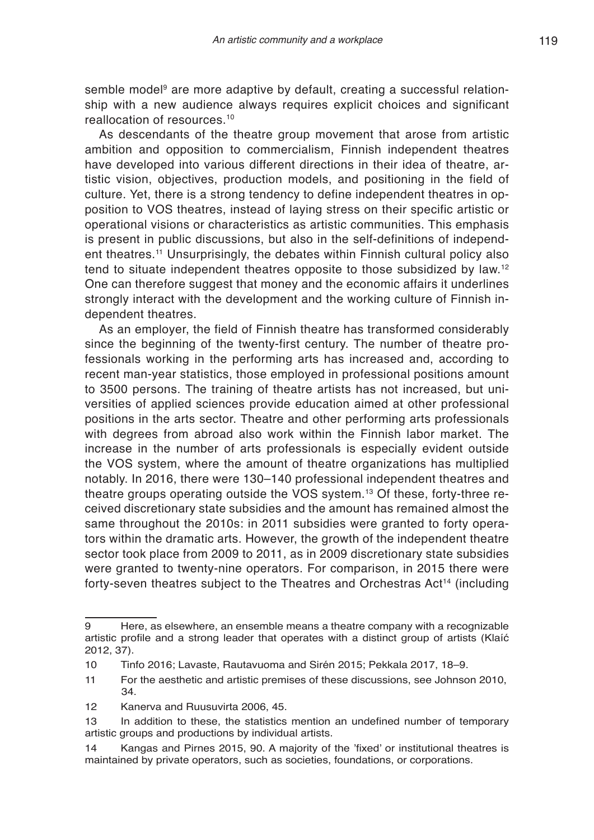semble model<sup>9</sup> are more adaptive by default, creating a successful relationship with a new audience always requires explicit choices and significant reallocation of resources.10

As descendants of the theatre group movement that arose from artistic ambition and opposition to commercialism, Finnish independent theatres have developed into various different directions in their idea of theatre, artistic vision, objectives, production models, and positioning in the field of culture. Yet, there is a strong tendency to define independent theatres in opposition to VOS theatres, instead of laying stress on their specific artistic or operational visions or characteristics as artistic communities. This emphasis is present in public discussions, but also in the self-definitions of independent theatres.11 Unsurprisingly, the debates within Finnish cultural policy also tend to situate independent theatres opposite to those subsidized by law.12 One can therefore suggest that money and the economic affairs it underlines strongly interact with the development and the working culture of Finnish independent theatres.

As an employer, the field of Finnish theatre has transformed considerably since the beginning of the twenty-first century. The number of theatre professionals working in the performing arts has increased and, according to recent man-year statistics, those employed in professional positions amount to 3500 persons. The training of theatre artists has not increased, but universities of applied sciences provide education aimed at other professional positions in the arts sector. Theatre and other performing arts professionals with degrees from abroad also work within the Finnish labor market. The increase in the number of arts professionals is especially evident outside the VOS system, where the amount of theatre organizations has multiplied notably. In 2016, there were 130–140 professional independent theatres and theatre groups operating outside the VOS system.13 Of these, forty-three received discretionary state subsidies and the amount has remained almost the same throughout the 2010s: in 2011 subsidies were granted to forty operators within the dramatic arts. However, the growth of the independent theatre sector took place from 2009 to 2011, as in 2009 discretionary state subsidies were granted to twenty-nine operators. For comparison, in 2015 there were forty-seven theatres subject to the Theatres and Orchestras Act<sup>14</sup> (including

<sup>9</sup> Here, as elsewhere, an ensemble means a theatre company with a recognizable artistic profile and a strong leader that operates with a distinct group of artists (Klaíć 2012, 37).

<sup>10</sup> Tinfo 2016; Lavaste, Rautavuoma and Sirén 2015; Pekkala 2017, 18–9.

<sup>11</sup> For the aesthetic and artistic premises of these discussions, see Johnson 2010, 34.

<sup>12</sup> Kanerva and Ruusuvirta 2006, 45.

<sup>13</sup> In addition to these, the statistics mention an undefined number of temporary artistic groups and productions by individual artists.

<sup>14</sup> Kangas and Pirnes 2015, 90. A majority of the 'fixed' or institutional theatres is maintained by private operators, such as societies, foundations, or corporations.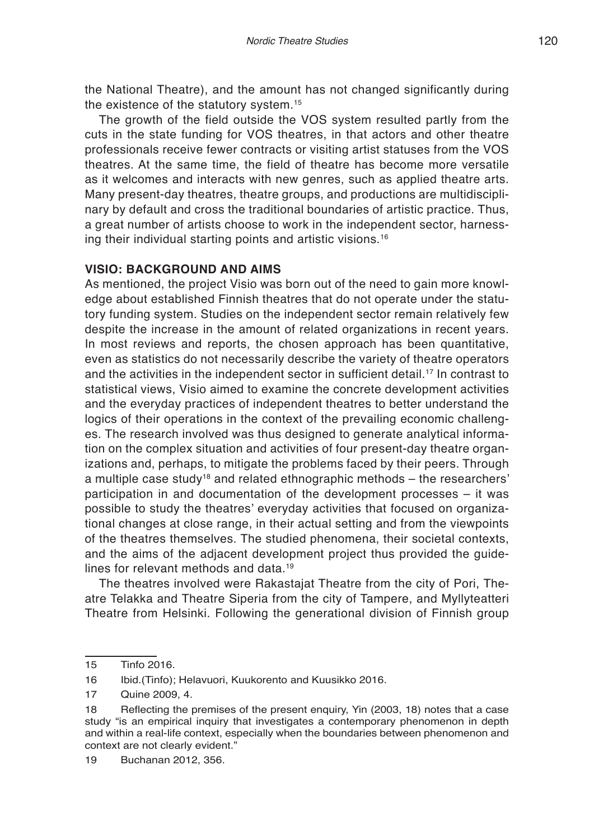the National Theatre), and the amount has not changed significantly during the existence of the statutory system.<sup>15</sup>

The growth of the field outside the VOS system resulted partly from the cuts in the state funding for VOS theatres, in that actors and other theatre professionals receive fewer contracts or visiting artist statuses from the VOS theatres. At the same time, the field of theatre has become more versatile as it welcomes and interacts with new genres, such as applied theatre arts. Many present-day theatres, theatre groups, and productions are multidisciplinary by default and cross the traditional boundaries of artistic practice. Thus, a great number of artists choose to work in the independent sector, harnessing their individual starting points and artistic visions.16

# **VISIO: BACKGROUND AND AIMS**

As mentioned, the project Visio was born out of the need to gain more knowledge about established Finnish theatres that do not operate under the statutory funding system. Studies on the independent sector remain relatively few despite the increase in the amount of related organizations in recent years. In most reviews and reports, the chosen approach has been quantitative, even as statistics do not necessarily describe the variety of theatre operators and the activities in the independent sector in sufficient detail.17 In contrast to statistical views, Visio aimed to examine the concrete development activities and the everyday practices of independent theatres to better understand the logics of their operations in the context of the prevailing economic challenges. The research involved was thus designed to generate analytical information on the complex situation and activities of four present-day theatre organizations and, perhaps, to mitigate the problems faced by their peers. Through a multiple case study<sup>18</sup> and related ethnographic methods  $-$  the researchers' participation in and documentation of the development processes – it was possible to study the theatres' everyday activities that focused on organizational changes at close range, in their actual setting and from the viewpoints of the theatres themselves. The studied phenomena, their societal contexts, and the aims of the adjacent development project thus provided the guidelines for relevant methods and data.19

The theatres involved were Rakastajat Theatre from the city of Pori, Theatre Telakka and Theatre Siperia from the city of Tampere, and Myllyteatteri Theatre from Helsinki. Following the generational division of Finnish group

<sup>15</sup> Tinfo 2016.

<sup>16</sup> Ibid.(Tinfo); Helavuori, Kuukorento and Kuusikko 2016.

<sup>17</sup> Quine 2009, 4.

<sup>18</sup> Reflecting the premises of the present enquiry, Yin (2003, 18) notes that a case study "is an empirical inquiry that investigates a contemporary phenomenon in depth and within a real-life context, especially when the boundaries between phenomenon and context are not clearly evident."

<sup>19</sup> Buchanan 2012, 356.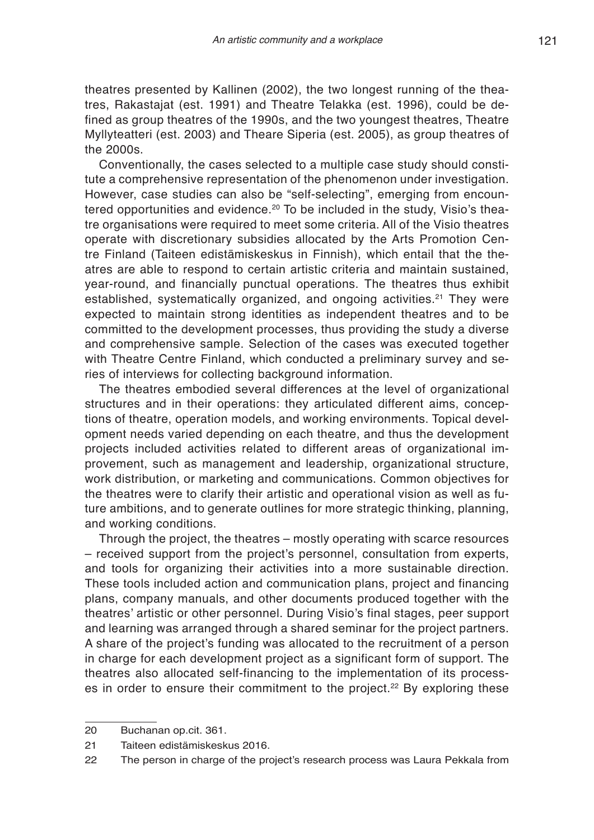theatres presented by Kallinen (2002), the two longest running of the theatres, Rakastajat (est. 1991) and Theatre Telakka (est. 1996), could be defined as group theatres of the 1990s, and the two youngest theatres, Theatre Myllyteatteri (est. 2003) and Theare Siperia (est. 2005), as group theatres of the 2000s.

Conventionally, the cases selected to a multiple case study should constitute a comprehensive representation of the phenomenon under investigation. However, case studies can also be "self-selecting", emerging from encountered opportunities and evidence.<sup>20</sup> To be included in the study, Visio's theatre organisations were required to meet some criteria. All of the Visio theatres operate with discretionary subsidies allocated by the Arts Promotion Centre Finland (Taiteen edistämiskeskus in Finnish), which entail that the theatres are able to respond to certain artistic criteria and maintain sustained, year-round, and financially punctual operations. The theatres thus exhibit established, systematically organized, and ongoing activities.<sup>21</sup> They were expected to maintain strong identities as independent theatres and to be committed to the development processes, thus providing the study a diverse and comprehensive sample. Selection of the cases was executed together with Theatre Centre Finland, which conducted a preliminary survey and series of interviews for collecting background information.

The theatres embodied several differences at the level of organizational structures and in their operations: they articulated different aims, conceptions of theatre, operation models, and working environments. Topical development needs varied depending on each theatre, and thus the development projects included activities related to different areas of organizational improvement, such as management and leadership, organizational structure, work distribution, or marketing and communications. Common objectives for the theatres were to clarify their artistic and operational vision as well as future ambitions, and to generate outlines for more strategic thinking, planning, and working conditions.

Through the project, the theatres – mostly operating with scarce resources – received support from the project's personnel, consultation from experts, and tools for organizing their activities into a more sustainable direction. These tools included action and communication plans, project and financing plans, company manuals, and other documents produced together with the theatres' artistic or other personnel. During Visio's final stages, peer support and learning was arranged through a shared seminar for the project partners. A share of the project's funding was allocated to the recruitment of a person in charge for each development project as a significant form of support. The theatres also allocated self-financing to the implementation of its processes in order to ensure their commitment to the project.<sup>22</sup> By exploring these

<sup>20</sup> Buchanan op.cit. 361.

<sup>21</sup> Taiteen edistämiskeskus 2016.

<sup>22</sup> The person in charge of the project's research process was Laura Pekkala from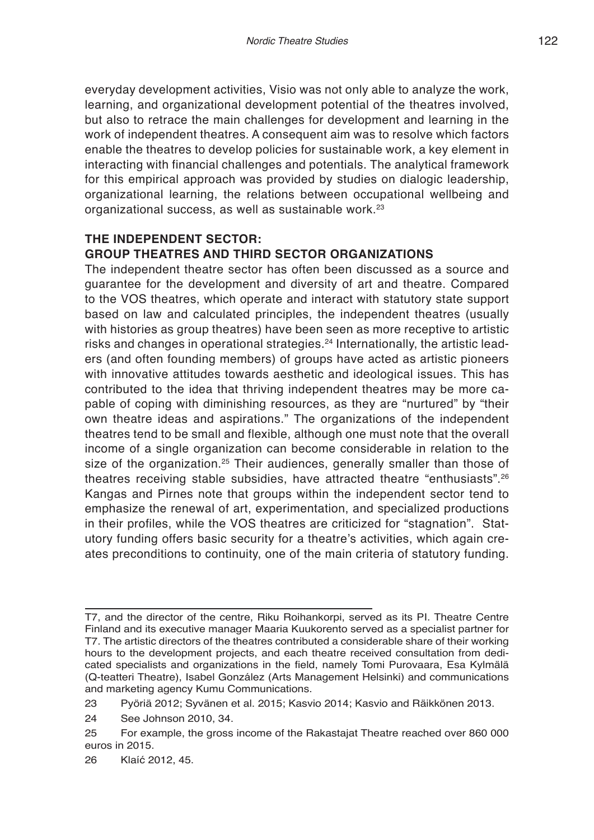everyday development activities, Visio was not only able to analyze the work, learning, and organizational development potential of the theatres involved, but also to retrace the main challenges for development and learning in the work of independent theatres. A consequent aim was to resolve which factors enable the theatres to develop policies for sustainable work, a key element in interacting with financial challenges and potentials. The analytical framework for this empirical approach was provided by studies on dialogic leadership, organizational learning, the relations between occupational wellbeing and organizational success, as well as sustainable work.<sup>23</sup>

# **THE INDEPENDENT SECTOR: GROUP THEATRES AND THIRD SECTOR ORGANIZATIONS**

The independent theatre sector has often been discussed as a source and guarantee for the development and diversity of art and theatre. Compared to the VOS theatres, which operate and interact with statutory state support based on law and calculated principles, the independent theatres (usually with histories as group theatres) have been seen as more receptive to artistic risks and changes in operational strategies.<sup>24</sup> Internationally, the artistic leaders (and often founding members) of groups have acted as artistic pioneers with innovative attitudes towards aesthetic and ideological issues. This has contributed to the idea that thriving independent theatres may be more capable of coping with diminishing resources, as they are "nurtured" by "their own theatre ideas and aspirations." The organizations of the independent theatres tend to be small and flexible, although one must note that the overall income of a single organization can become considerable in relation to the size of the organization.<sup>25</sup> Their audiences, generally smaller than those of theatres receiving stable subsidies, have attracted theatre "enthusiasts".26 Kangas and Pirnes note that groups within the independent sector tend to emphasize the renewal of art, experimentation, and specialized productions in their profiles, while the VOS theatres are criticized for "stagnation". Statutory funding offers basic security for a theatre's activities, which again creates preconditions to continuity, one of the main criteria of statutory funding.

T7, and the director of the centre, Riku Roihankorpi, served as its PI. Theatre Centre Finland and its executive manager Maaria Kuukorento served as a specialist partner for T7. The artistic directors of the theatres contributed a considerable share of their working hours to the development projects, and each theatre received consultation from dedicated specialists and organizations in the field, namely Tomi Purovaara, Esa Kylmälä (Q-teatteri Theatre), Isabel González (Arts Management Helsinki) and communications and marketing agency Kumu Communications.

<sup>23</sup> Pyöriä 2012; Syvänen et al. 2015; Kasvio 2014; Kasvio and Räikkönen 2013.

<sup>24</sup> See Johnson 2010, 34.

<sup>25</sup> For example, the gross income of the Rakastajat Theatre reached over 860 000 euros in 2015.

<sup>26</sup> Klaíć 2012, 45.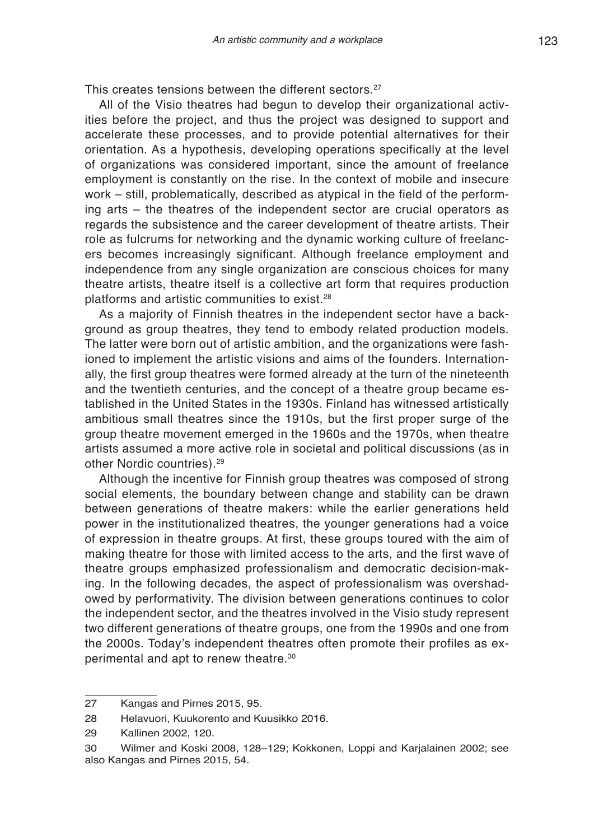This creates tensions between the different sectors.<sup>27</sup>

All of the Visio theatres had begun to develop their organizational activities before the project, and thus the project was designed to support and accelerate these processes, and to provide potential alternatives for their orientation. As a hypothesis, developing operations specifically at the level of organizations was considered important, since the amount of freelance employment is constantly on the rise. In the context of mobile and insecure work – still, problematically, described as atypical in the field of the performing arts – the theatres of the independent sector are crucial operators as regards the subsistence and the career development of theatre artists. Their role as fulcrums for networking and the dynamic working culture of freelancers becomes increasingly significant. Although freelance employment and independence from any single organization are conscious choices for many theatre artists, theatre itself is a collective art form that requires production platforms and artistic communities to exist.28

As a majority of Finnish theatres in the independent sector have a background as group theatres, they tend to embody related production models. The latter were born out of artistic ambition, and the organizations were fashioned to implement the artistic visions and aims of the founders. Internationally, the first group theatres were formed already at the turn of the nineteenth and the twentieth centuries, and the concept of a theatre group became established in the United States in the 1930s. Finland has witnessed artistically ambitious small theatres since the 1910s, but the first proper surge of the group theatre movement emerged in the 1960s and the 1970s, when theatre artists assumed a more active role in societal and political discussions (as in other Nordic countries).29

Although the incentive for Finnish group theatres was composed of strong social elements, the boundary between change and stability can be drawn between generations of theatre makers: while the earlier generations held power in the institutionalized theatres, the younger generations had a voice of expression in theatre groups. At first, these groups toured with the aim of making theatre for those with limited access to the arts, and the first wave of theatre groups emphasized professionalism and democratic decision-making. In the following decades, the aspect of professionalism was overshadowed by performativity. The division between generations continues to color the independent sector, and the theatres involved in the Visio study represent two different generations of theatre groups, one from the 1990s and one from the 2000s. Today's independent theatres often promote their profiles as experimental and apt to renew theatre.30

<sup>27</sup> Kangas and Pirnes 2015, 95.

<sup>28</sup> Helavuori, Kuukorento and Kuusikko 2016.

<sup>29</sup> Kallinen 2002, 120.

<sup>30</sup> Wilmer and Koski 2008, 128–129; Kokkonen, Loppi and Karjalainen 2002; see also Kangas and Pirnes 2015, 54.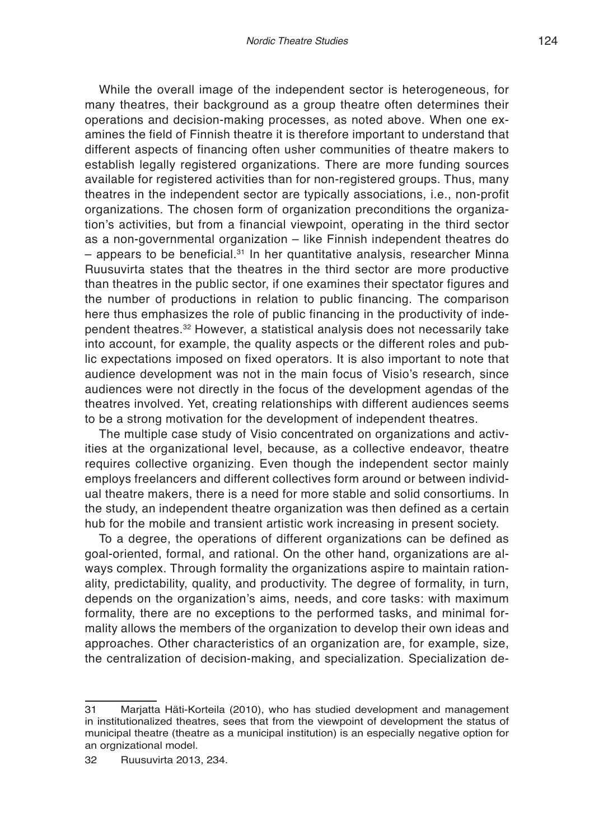While the overall image of the independent sector is heterogeneous, for many theatres, their background as a group theatre often determines their operations and decision-making processes, as noted above. When one examines the field of Finnish theatre it is therefore important to understand that different aspects of financing often usher communities of theatre makers to establish legally registered organizations. There are more funding sources available for registered activities than for non-registered groups. Thus, many theatres in the independent sector are typically associations, i.e., non-profit organizations. The chosen form of organization preconditions the organization's activities, but from a financial viewpoint, operating in the third sector as a non-governmental organization – like Finnish independent theatres do  $-$  appears to be beneficial.<sup>31</sup> In her quantitative analysis, researcher Minna Ruusuvirta states that the theatres in the third sector are more productive than theatres in the public sector, if one examines their spectator figures and the number of productions in relation to public financing. The comparison here thus emphasizes the role of public financing in the productivity of independent theatres.32 However, a statistical analysis does not necessarily take into account, for example, the quality aspects or the different roles and public expectations imposed on fixed operators. It is also important to note that audience development was not in the main focus of Visio's research, since audiences were not directly in the focus of the development agendas of the theatres involved. Yet, creating relationships with different audiences seems to be a strong motivation for the development of independent theatres.

The multiple case study of Visio concentrated on organizations and activities at the organizational level, because, as a collective endeavor, theatre requires collective organizing. Even though the independent sector mainly employs freelancers and different collectives form around or between individual theatre makers, there is a need for more stable and solid consortiums. In the study, an independent theatre organization was then defined as a certain hub for the mobile and transient artistic work increasing in present society.

To a degree, the operations of different organizations can be defined as goal-oriented, formal, and rational. On the other hand, organizations are always complex. Through formality the organizations aspire to maintain rationality, predictability, quality, and productivity. The degree of formality, in turn, depends on the organization's aims, needs, and core tasks: with maximum formality, there are no exceptions to the performed tasks, and minimal formality allows the members of the organization to develop their own ideas and approaches. Other characteristics of an organization are, for example, size, the centralization of decision-making, and specialization. Specialization de-

<sup>31</sup> Marjatta Häti-Korteila (2010), who has studied development and management in institutionalized theatres, sees that from the viewpoint of development the status of municipal theatre (theatre as a municipal institution) is an especially negative option for an orgnizational model.

<sup>32</sup> Ruusuvirta 2013, 234.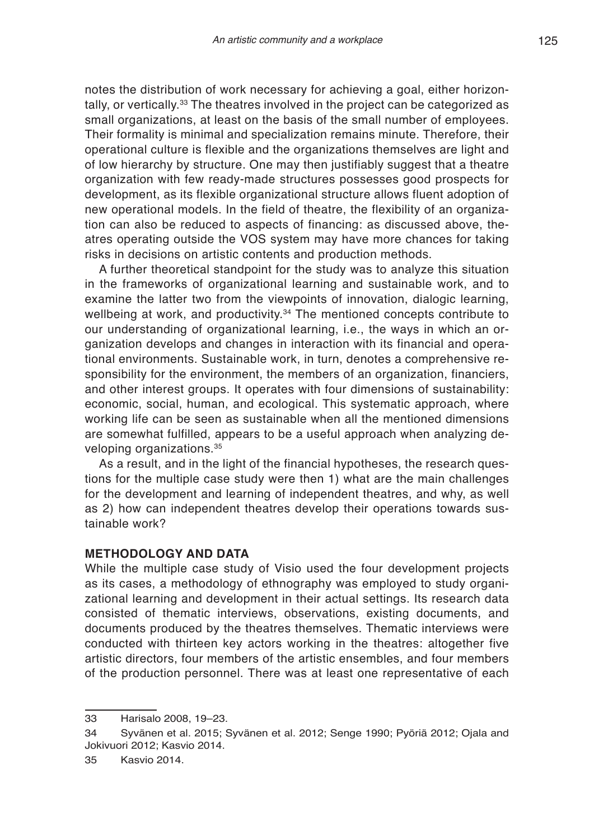notes the distribution of work necessary for achieving a goal, either horizontally, or vertically.<sup>33</sup> The theatres involved in the project can be categorized as small organizations, at least on the basis of the small number of employees. Their formality is minimal and specialization remains minute. Therefore, their operational culture is flexible and the organizations themselves are light and of low hierarchy by structure. One may then justifiably suggest that a theatre organization with few ready-made structures possesses good prospects for development, as its flexible organizational structure allows fluent adoption of new operational models. In the field of theatre, the flexibility of an organization can also be reduced to aspects of financing: as discussed above, theatres operating outside the VOS system may have more chances for taking risks in decisions on artistic contents and production methods.

A further theoretical standpoint for the study was to analyze this situation in the frameworks of organizational learning and sustainable work, and to examine the latter two from the viewpoints of innovation, dialogic learning, wellbeing at work, and productivity.<sup>34</sup> The mentioned concepts contribute to our understanding of organizational learning, i.e., the ways in which an organization develops and changes in interaction with its financial and operational environments. Sustainable work, in turn, denotes a comprehensive responsibility for the environment, the members of an organization, financiers, and other interest groups. It operates with four dimensions of sustainability: economic, social, human, and ecological. This systematic approach, where working life can be seen as sustainable when all the mentioned dimensions are somewhat fulfilled, appears to be a useful approach when analyzing developing organizations.<sup>35</sup>

As a result, and in the light of the financial hypotheses, the research questions for the multiple case study were then 1) what are the main challenges for the development and learning of independent theatres, and why, as well as 2) how can independent theatres develop their operations towards sustainable work?

### **METHODOLOGY AND DATA**

While the multiple case study of Visio used the four development projects as its cases, a methodology of ethnography was employed to study organizational learning and development in their actual settings. Its research data consisted of thematic interviews, observations, existing documents, and documents produced by the theatres themselves. Thematic interviews were conducted with thirteen key actors working in the theatres: altogether five artistic directors, four members of the artistic ensembles, and four members of the production personnel. There was at least one representative of each

<sup>33</sup> Harisalo 2008, 19–23.

<sup>34</sup> Syvänen et al. 2015; Syvänen et al. 2012; Senge 1990; Pyöriä 2012; Ojala and Jokivuori 2012; Kasvio 2014.

<sup>35</sup> Kasvio 2014.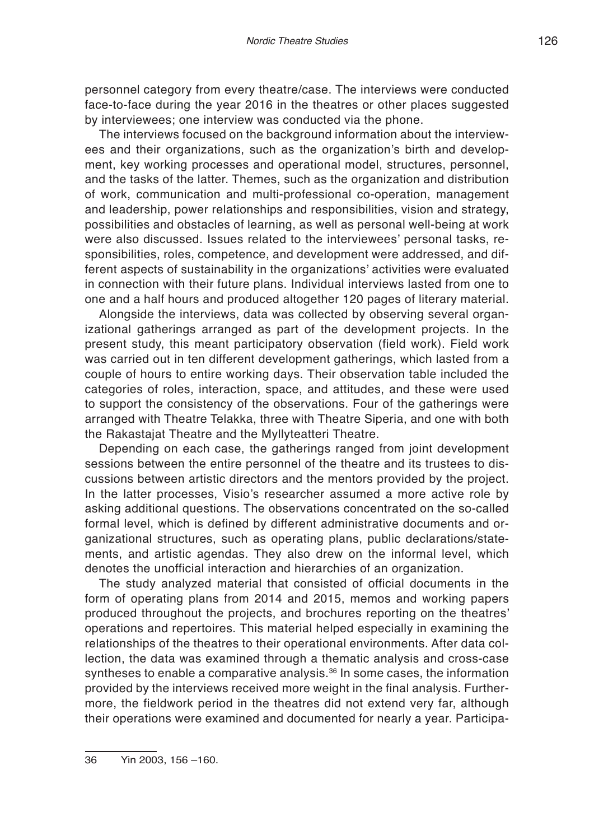personnel category from every theatre/case. The interviews were conducted face-to-face during the year 2016 in the theatres or other places suggested by interviewees; one interview was conducted via the phone.

The interviews focused on the background information about the interviewees and their organizations, such as the organization's birth and development, key working processes and operational model, structures, personnel, and the tasks of the latter. Themes, such as the organization and distribution of work, communication and multi-professional co-operation, management and leadership, power relationships and responsibilities, vision and strategy, possibilities and obstacles of learning, as well as personal well-being at work were also discussed. Issues related to the interviewees' personal tasks, responsibilities, roles, competence, and development were addressed, and different aspects of sustainability in the organizations' activities were evaluated in connection with their future plans. Individual interviews lasted from one to one and a half hours and produced altogether 120 pages of literary material.

Alongside the interviews, data was collected by observing several organizational gatherings arranged as part of the development projects. In the present study, this meant participatory observation (field work). Field work was carried out in ten different development gatherings, which lasted from a couple of hours to entire working days. Their observation table included the categories of roles, interaction, space, and attitudes, and these were used to support the consistency of the observations. Four of the gatherings were arranged with Theatre Telakka, three with Theatre Siperia, and one with both the Rakastajat Theatre and the Myllyteatteri Theatre.

Depending on each case, the gatherings ranged from joint development sessions between the entire personnel of the theatre and its trustees to discussions between artistic directors and the mentors provided by the project. In the latter processes, Visio's researcher assumed a more active role by asking additional questions. The observations concentrated on the so-called formal level, which is defined by different administrative documents and organizational structures, such as operating plans, public declarations/statements, and artistic agendas. They also drew on the informal level, which denotes the unofficial interaction and hierarchies of an organization.

The study analyzed material that consisted of official documents in the form of operating plans from 2014 and 2015, memos and working papers produced throughout the projects, and brochures reporting on the theatres' operations and repertoires. This material helped especially in examining the relationships of the theatres to their operational environments. After data collection, the data was examined through a thematic analysis and cross-case syntheses to enable a comparative analysis.<sup>36</sup> In some cases, the information provided by the interviews received more weight in the final analysis. Furthermore, the fieldwork period in the theatres did not extend very far, although their operations were examined and documented for nearly a year. Participa-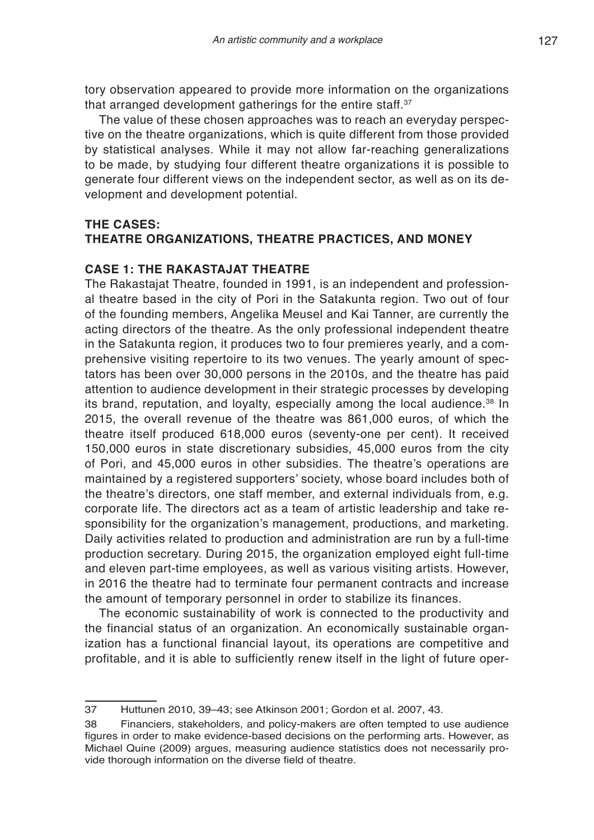tory observation appeared to provide more information on the organizations that arranged development gatherings for the entire staff.<sup>37</sup>

The value of these chosen approaches was to reach an everyday perspective on the theatre organizations, which is quite different from those provided by statistical analyses. While it may not allow far-reaching generalizations to be made, by studying four different theatre organizations it is possible to generate four different views on the independent sector, as well as on its development and development potential.

# **THE CASES: THEATRE ORGANIZATIONS, THEATRE PRACTICES, AND MONEY**

# **CASE 1: THE RAKASTAJAT THEATRE**

The Rakastajat Theatre, founded in 1991, is an independent and professional theatre based in the city of Pori in the Satakunta region. Two out of four of the founding members, Angelika Meusel and Kai Tanner, are currently the acting directors of the theatre. As the only professional independent theatre in the Satakunta region, it produces two to four premieres yearly, and a comprehensive visiting repertoire to its two venues. The yearly amount of spectators has been over 30,000 persons in the 2010s, and the theatre has paid attention to audience development in their strategic processes by developing its brand, reputation, and loyalty, especially among the local audience.<sup>38</sup> In 2015, the overall revenue of the theatre was 861,000 euros, of which the theatre itself produced 618,000 euros (seventy-one per cent). It received 150,000 euros in state discretionary subsidies, 45,000 euros from the city of Pori, and 45,000 euros in other subsidies. The theatre's operations are maintained by a registered supporters' society, whose board includes both of the theatre's directors, one staff member, and external individuals from, e.g. corporate life. The directors act as a team of artistic leadership and take responsibility for the organization's management, productions, and marketing. Daily activities related to production and administration are run by a full-time production secretary. During 2015, the organization employed eight full-time and eleven part-time employees, as well as various visiting artists. However, in 2016 the theatre had to terminate four permanent contracts and increase the amount of temporary personnel in order to stabilize its finances.

The economic sustainability of work is connected to the productivity and the financial status of an organization. An economically sustainable organization has a functional financial layout, its operations are competitive and profitable, and it is able to sufficiently renew itself in the light of future oper-

<sup>37</sup> Huttunen 2010, 39–43; see Atkinson 2001; Gordon et al. 2007, 43.

<sup>38</sup> Financiers, stakeholders, and policy-makers are often tempted to use audience figures in order to make evidence-based decisions on the performing arts. However, as Michael Quine (2009) argues, measuring audience statistics does not necessarily provide thorough information on the diverse field of theatre.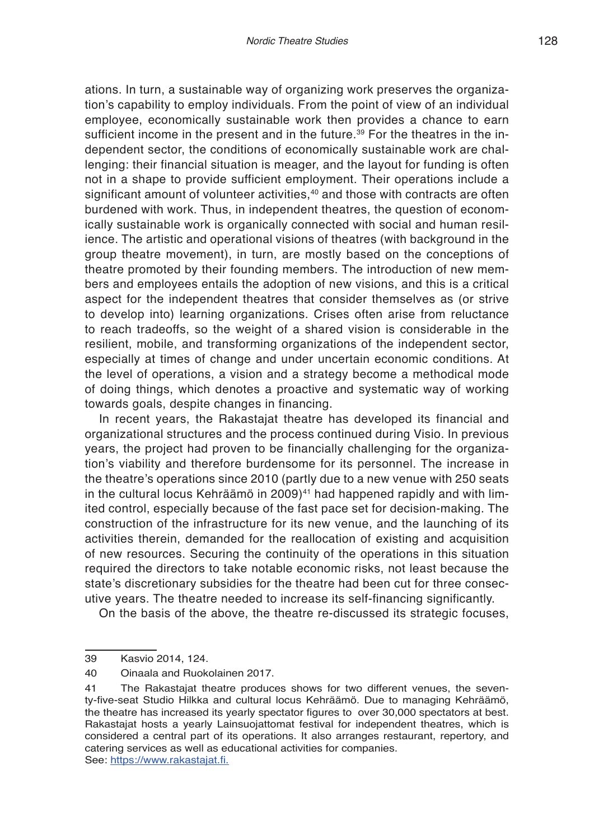ations. In turn, a sustainable way of organizing work preserves the organization's capability to employ individuals. From the point of view of an individual employee, economically sustainable work then provides a chance to earn sufficient income in the present and in the future.<sup>39</sup> For the theatres in the independent sector, the conditions of economically sustainable work are challenging: their financial situation is meager, and the layout for funding is often not in a shape to provide sufficient employment. Their operations include a significant amount of volunteer activities,<sup>40</sup> and those with contracts are often burdened with work. Thus, in independent theatres, the question of economically sustainable work is organically connected with social and human resilience. The artistic and operational visions of theatres (with background in the group theatre movement), in turn, are mostly based on the conceptions of theatre promoted by their founding members. The introduction of new members and employees entails the adoption of new visions, and this is a critical aspect for the independent theatres that consider themselves as (or strive to develop into) learning organizations. Crises often arise from reluctance to reach tradeoffs, so the weight of a shared vision is considerable in the resilient, mobile, and transforming organizations of the independent sector, especially at times of change and under uncertain economic conditions. At the level of operations, a vision and a strategy become a methodical mode of doing things, which denotes a proactive and systematic way of working towards goals, despite changes in financing.

In recent years, the Rakastajat theatre has developed its financial and organizational structures and the process continued during Visio. In previous years, the project had proven to be financially challenging for the organization's viability and therefore burdensome for its personnel. The increase in the theatre's operations since 2010 (partly due to a new venue with 250 seats in the cultural locus Kehräämö in 2009)<sup>41</sup> had happened rapidly and with limited control, especially because of the fast pace set for decision-making. The construction of the infrastructure for its new venue, and the launching of its activities therein, demanded for the reallocation of existing and acquisition of new resources. Securing the continuity of the operations in this situation required the directors to take notable economic risks, not least because the state's discretionary subsidies for the theatre had been cut for three consecutive years. The theatre needed to increase its self-financing significantly.

On the basis of the above, the theatre re-discussed its strategic focuses,

<sup>39</sup> Kasvio 2014, 124.

<sup>40</sup> Oinaala and Ruokolainen 2017.

<sup>41</sup> The Rakastajat theatre produces shows for two different venues, the seventy-five-seat Studio Hilkka and cultural locus Kehräämö. Due to managing Kehräämö, the theatre has increased its yearly spectator figures to over 30,000 spectators at best. Rakastajat hosts a yearly Lainsuojattomat festival for independent theatres, which is considered a central part of its operations. It also arranges restaurant, repertory, and catering services as well as educational activities for companies. See: https://www.rakastajat.fi.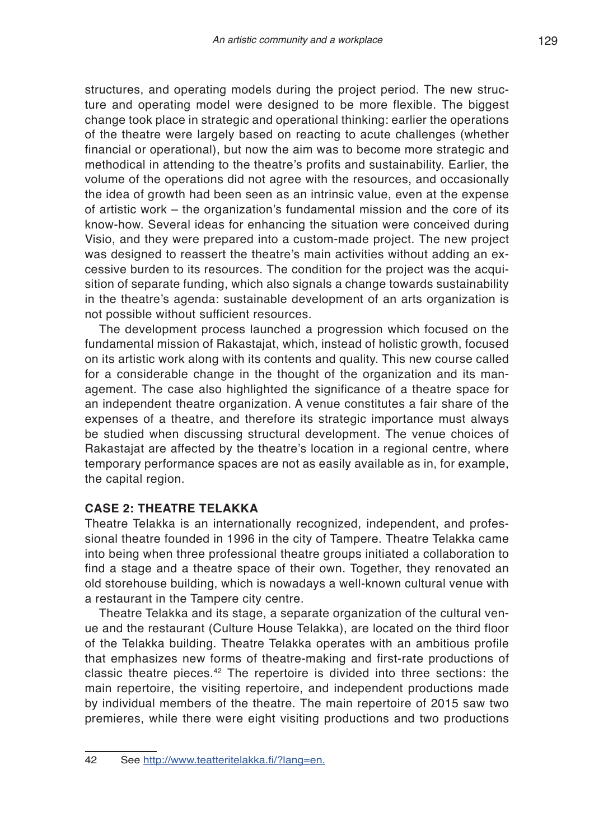structures, and operating models during the project period. The new structure and operating model were designed to be more flexible. The biggest change took place in strategic and operational thinking: earlier the operations of the theatre were largely based on reacting to acute challenges (whether financial or operational), but now the aim was to become more strategic and methodical in attending to the theatre's profits and sustainability. Earlier, the volume of the operations did not agree with the resources, and occasionally the idea of growth had been seen as an intrinsic value, even at the expense of artistic work – the organization's fundamental mission and the core of its know-how. Several ideas for enhancing the situation were conceived during Visio, and they were prepared into a custom-made project. The new project was designed to reassert the theatre's main activities without adding an excessive burden to its resources. The condition for the project was the acquisition of separate funding, which also signals a change towards sustainability in the theatre's agenda: sustainable development of an arts organization is not possible without sufficient resources.

The development process launched a progression which focused on the fundamental mission of Rakastajat, which, instead of holistic growth, focused on its artistic work along with its contents and quality. This new course called for a considerable change in the thought of the organization and its management. The case also highlighted the significance of a theatre space for an independent theatre organization. A venue constitutes a fair share of the expenses of a theatre, and therefore its strategic importance must always be studied when discussing structural development. The venue choices of Rakastajat are affected by the theatre's location in a regional centre, where temporary performance spaces are not as easily available as in, for example, the capital region.

## **CASE 2: THEATRE TELAKKA**

Theatre Telakka is an internationally recognized, independent, and professional theatre founded in 1996 in the city of Tampere. Theatre Telakka came into being when three professional theatre groups initiated a collaboration to find a stage and a theatre space of their own. Together, they renovated an old storehouse building, which is nowadays a well-known cultural venue with a restaurant in the Tampere city centre.

Theatre Telakka and its stage, a separate organization of the cultural venue and the restaurant (Culture House Telakka), are located on the third floor of the Telakka building. Theatre Telakka operates with an ambitious profile that emphasizes new forms of theatre-making and first-rate productions of classic theatre pieces.42 The repertoire is divided into three sections: the main repertoire, the visiting repertoire, and independent productions made by individual members of the theatre. The main repertoire of 2015 saw two premieres, while there were eight visiting productions and two productions

<sup>42</sup> See http://www.teatteritelakka.fi/?lang=en.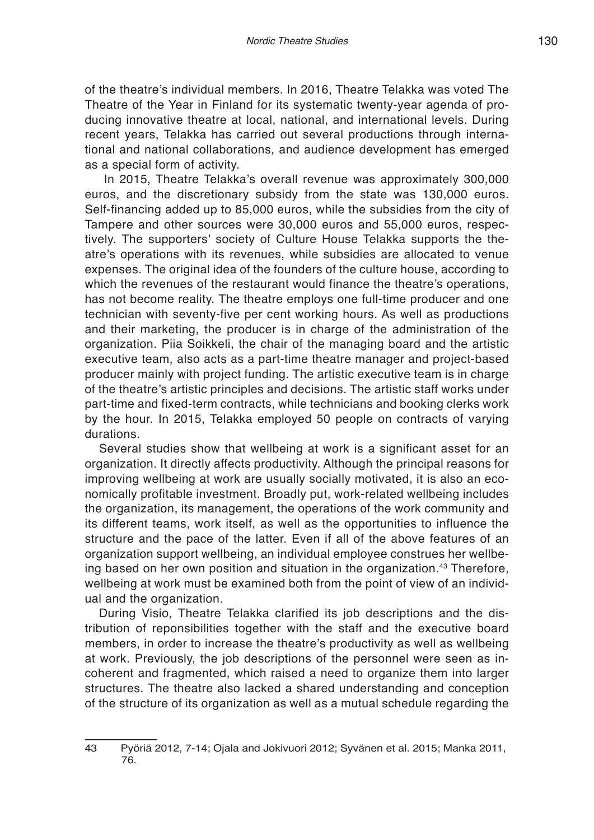of the theatre's individual members. In 2016, Theatre Telakka was voted The Theatre of the Year in Finland for its systematic twenty-year agenda of producing innovative theatre at local, national, and international levels. During recent years, Telakka has carried out several productions through international and national collaborations, and audience development has emerged as a special form of activity.

 In 2015, Theatre Telakka's overall revenue was approximately 300,000 euros, and the discretionary subsidy from the state was 130,000 euros. Self-financing added up to 85,000 euros, while the subsidies from the city of Tampere and other sources were 30,000 euros and 55,000 euros, respectively. The supporters' society of Culture House Telakka supports the theatre's operations with its revenues, while subsidies are allocated to venue expenses. The original idea of the founders of the culture house, according to which the revenues of the restaurant would finance the theatre's operations, has not become reality. The theatre employs one full-time producer and one technician with seventy-five per cent working hours. As well as productions and their marketing, the producer is in charge of the administration of the organization. Piia Soikkeli, the chair of the managing board and the artistic executive team, also acts as a part-time theatre manager and project-based producer mainly with project funding. The artistic executive team is in charge of the theatre's artistic principles and decisions. The artistic staff works under part-time and fixed-term contracts, while technicians and booking clerks work by the hour. In 2015, Telakka employed 50 people on contracts of varying durations.

Several studies show that wellbeing at work is a significant asset for an organization. It directly affects productivity. Although the principal reasons for improving wellbeing at work are usually socially motivated, it is also an economically profitable investment. Broadly put, work-related wellbeing includes the organization, its management, the operations of the work community and its different teams, work itself, as well as the opportunities to influence the structure and the pace of the latter. Even if all of the above features of an organization support wellbeing, an individual employee construes her wellbeing based on her own position and situation in the organization.<sup>43</sup> Therefore, wellbeing at work must be examined both from the point of view of an individual and the organization.

During Visio, Theatre Telakka clarified its job descriptions and the distribution of reponsibilities together with the staff and the executive board members, in order to increase the theatre's productivity as well as wellbeing at work. Previously, the job descriptions of the personnel were seen as incoherent and fragmented, which raised a need to organize them into larger structures. The theatre also lacked a shared understanding and conception of the structure of its organization as well as a mutual schedule regarding the

<sup>43</sup> Pyöriä 2012, 7-14; Ojala and Jokivuori 2012; Syvänen et al. 2015; Manka 2011, 76.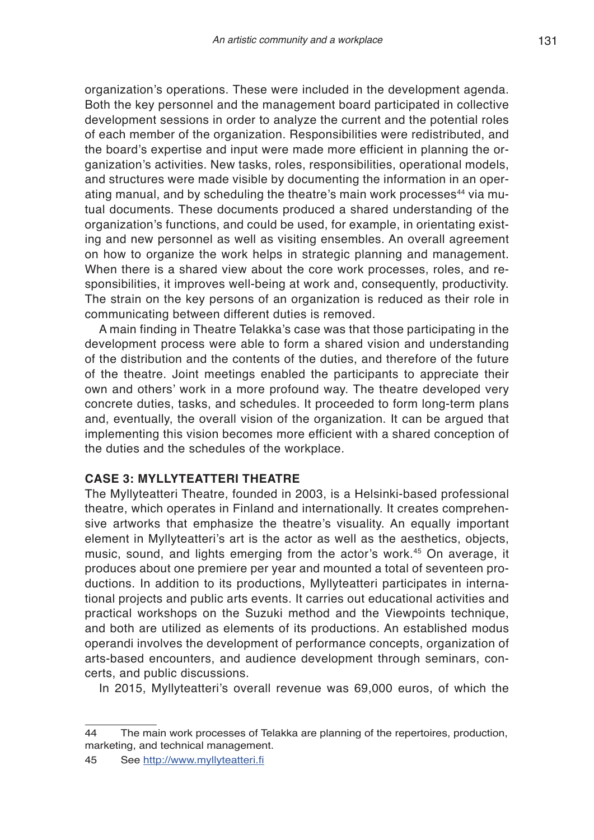organization's operations. These were included in the development agenda. Both the key personnel and the management board participated in collective development sessions in order to analyze the current and the potential roles of each member of the organization. Responsibilities were redistributed, and the board's expertise and input were made more efficient in planning the organization's activities. New tasks, roles, responsibilities, operational models, and structures were made visible by documenting the information in an operating manual, and by scheduling the theatre's main work processes<sup>44</sup> via mutual documents. These documents produced a shared understanding of the organization's functions, and could be used, for example, in orientating existing and new personnel as well as visiting ensembles. An overall agreement on how to organize the work helps in strategic planning and management. When there is a shared view about the core work processes, roles, and responsibilities, it improves well-being at work and, consequently, productivity. The strain on the key persons of an organization is reduced as their role in communicating between different duties is removed.

A main finding in Theatre Telakka's case was that those participating in the development process were able to form a shared vision and understanding of the distribution and the contents of the duties, and therefore of the future of the theatre. Joint meetings enabled the participants to appreciate their own and others' work in a more profound way. The theatre developed very concrete duties, tasks, and schedules. It proceeded to form long-term plans and, eventually, the overall vision of the organization. It can be argued that implementing this vision becomes more efficient with a shared conception of the duties and the schedules of the workplace.

### **CASE 3: MYLLYTEATTERI THEATRE**

The Myllyteatteri Theatre, founded in 2003, is a Helsinki-based professional theatre, which operates in Finland and internationally. It creates comprehensive artworks that emphasize the theatre's visuality. An equally important element in Myllyteatteri's art is the actor as well as the aesthetics, objects, music, sound, and lights emerging from the actor's work.<sup>45</sup> On average, it produces about one premiere per year and mounted a total of seventeen productions. In addition to its productions, Myllyteatteri participates in international projects and public arts events. It carries out educational activities and practical workshops on the Suzuki method and the Viewpoints technique, and both are utilized as elements of its productions. An established modus operandi involves the development of performance concepts, organization of arts-based encounters, and audience development through seminars, concerts, and public discussions.

In 2015, Myllyteatteri's overall revenue was 69,000 euros, of which the

<sup>44</sup> The main work processes of Telakka are planning of the repertoires, production, marketing, and technical management.

<sup>45</sup> See http://www.myllyteatteri.fi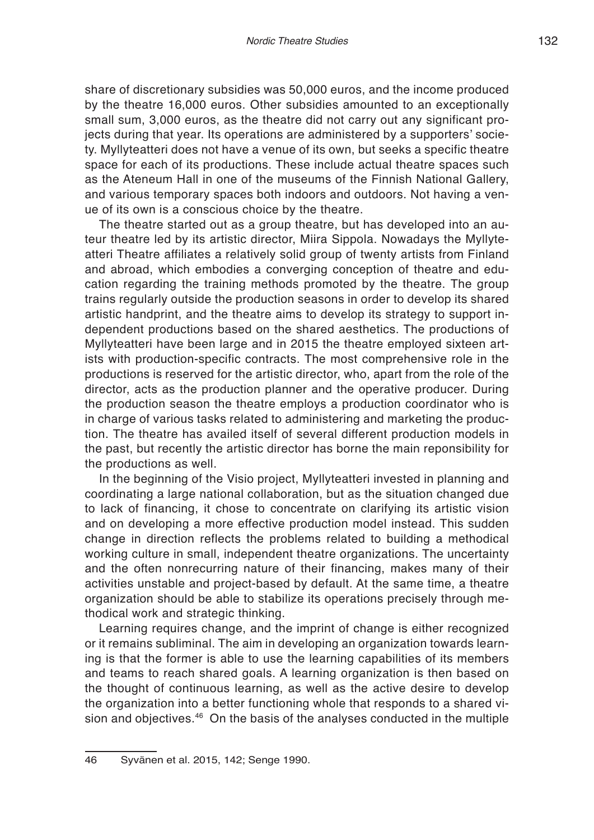share of discretionary subsidies was 50,000 euros, and the income produced by the theatre 16,000 euros. Other subsidies amounted to an exceptionally small sum, 3,000 euros, as the theatre did not carry out any significant projects during that year. Its operations are administered by a supporters' society. Myllyteatteri does not have a venue of its own, but seeks a specific theatre space for each of its productions. These include actual theatre spaces such as the Ateneum Hall in one of the museums of the Finnish National Gallery, and various temporary spaces both indoors and outdoors. Not having a venue of its own is a conscious choice by the theatre.

The theatre started out as a group theatre, but has developed into an auteur theatre led by its artistic director, Miira Sippola. Nowadays the Myllyteatteri Theatre affiliates a relatively solid group of twenty artists from Finland and abroad, which embodies a converging conception of theatre and education regarding the training methods promoted by the theatre. The group trains regularly outside the production seasons in order to develop its shared artistic handprint, and the theatre aims to develop its strategy to support independent productions based on the shared aesthetics. The productions of Myllyteatteri have been large and in 2015 the theatre employed sixteen artists with production-specific contracts. The most comprehensive role in the productions is reserved for the artistic director, who, apart from the role of the director, acts as the production planner and the operative producer. During the production season the theatre employs a production coordinator who is in charge of various tasks related to administering and marketing the production. The theatre has availed itself of several different production models in the past, but recently the artistic director has borne the main reponsibility for the productions as well.

In the beginning of the Visio project, Myllyteatteri invested in planning and coordinating a large national collaboration, but as the situation changed due to lack of financing, it chose to concentrate on clarifying its artistic vision and on developing a more effective production model instead. This sudden change in direction reflects the problems related to building a methodical working culture in small, independent theatre organizations. The uncertainty and the often nonrecurring nature of their financing, makes many of their activities unstable and project-based by default. At the same time, a theatre organization should be able to stabilize its operations precisely through methodical work and strategic thinking.

Learning requires change, and the imprint of change is either recognized or it remains subliminal. The aim in developing an organization towards learning is that the former is able to use the learning capabilities of its members and teams to reach shared goals. A learning organization is then based on the thought of continuous learning, as well as the active desire to develop the organization into a better functioning whole that responds to a shared vision and objectives.<sup>46</sup> On the basis of the analyses conducted in the multiple

<sup>46</sup> Syvänen et al. 2015, 142; Senge 1990.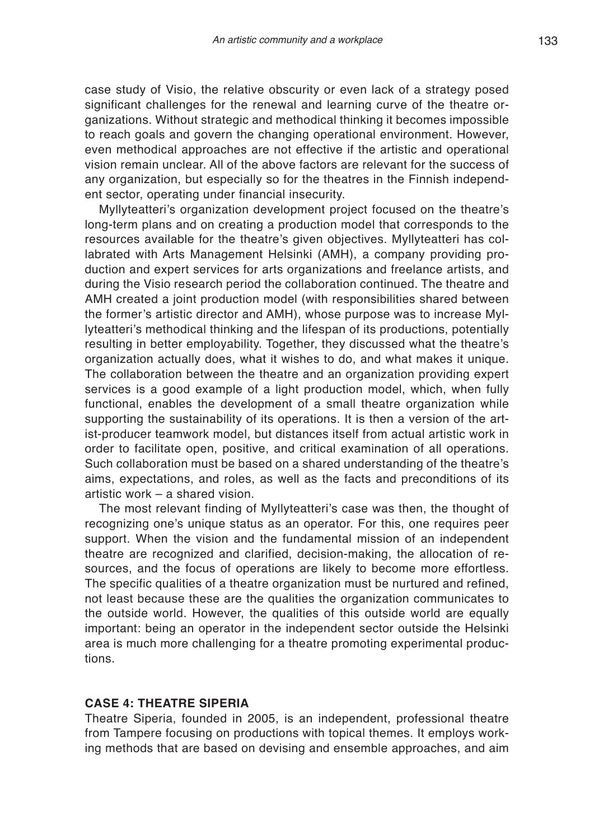case study of Visio, the relative obscurity or even lack of a strategy posed significant challenges for the renewal and learning curve of the theatre organizations. Without strategic and methodical thinking it becomes impossible to reach goals and govern the changing operational environment. However, even methodical approaches are not effective if the artistic and operational vision remain unclear. All of the above factors are relevant for the success of any organization, but especially so for the theatres in the Finnish independent sector, operating under financial insecurity.

Myllyteatteri's organization development project focused on the theatre's long-term plans and on creating a production model that corresponds to the resources available for the theatre's given objectives. Myllyteatteri has collabrated with Arts Management Helsinki (AMH), a company providing production and expert services for arts organizations and freelance artists, and during the Visio research period the collaboration continued. The theatre and AMH created a joint production model (with responsibilities shared between the former's artistic director and AMH), whose purpose was to increase Myllyteatteri's methodical thinking and the lifespan of its productions, potentially resulting in better employability. Together, they discussed what the theatre's organization actually does, what it wishes to do, and what makes it unique. The collaboration between the theatre and an organization providing expert services is a good example of a light production model, which, when fully functional, enables the development of a small theatre organization while supporting the sustainability of its operations. It is then a version of the artist-producer teamwork model, but distances itself from actual artistic work in order to facilitate open, positive, and critical examination of all operations. Such collaboration must be based on a shared understanding of the theatre's aims, expectations, and roles, as well as the facts and preconditions of its artistic work – a shared vision.

The most relevant finding of Myllyteatteri's case was then, the thought of recognizing one's unique status as an operator. For this, one requires peer support. When the vision and the fundamental mission of an independent theatre are recognized and clarified, decision-making, the allocation of resources, and the focus of operations are likely to become more effortless. The specific qualities of a theatre organization must be nurtured and refined, not least because these are the qualities the organization communicates to the outside world. However, the qualities of this outside world are equally important: being an operator in the independent sector outside the Helsinki area is much more challenging for a theatre promoting experimental productions.

#### **CASE 4: THEATRE SIPERIA**

Theatre Siperia, founded in 2005, is an independent, professional theatre from Tampere focusing on productions with topical themes. It employs working methods that are based on devising and ensemble approaches, and aim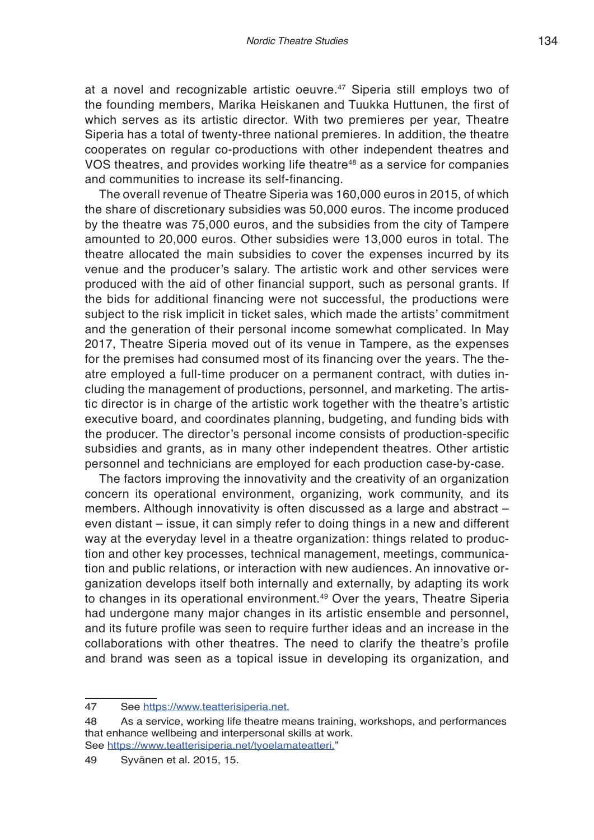at a novel and recognizable artistic oeuvre.<sup>47</sup> Siperia still employs two of the founding members, Marika Heiskanen and Tuukka Huttunen, the first of which serves as its artistic director. With two premieres per year, Theatre Siperia has a total of twenty-three national premieres. In addition, the theatre cooperates on regular co-productions with other independent theatres and VOS theatres, and provides working life theatre<sup>48</sup> as a service for companies and communities to increase its self-financing.

The overall revenue of Theatre Siperia was 160,000 euros in 2015, of which the share of discretionary subsidies was 50,000 euros. The income produced by the theatre was 75,000 euros, and the subsidies from the city of Tampere amounted to 20,000 euros. Other subsidies were 13,000 euros in total. The theatre allocated the main subsidies to cover the expenses incurred by its venue and the producer's salary. The artistic work and other services were produced with the aid of other financial support, such as personal grants. If the bids for additional financing were not successful, the productions were subject to the risk implicit in ticket sales, which made the artists' commitment and the generation of their personal income somewhat complicated. In May 2017, Theatre Siperia moved out of its venue in Tampere, as the expenses for the premises had consumed most of its financing over the years. The theatre employed a full-time producer on a permanent contract, with duties including the management of productions, personnel, and marketing. The artistic director is in charge of the artistic work together with the theatre's artistic executive board, and coordinates planning, budgeting, and funding bids with the producer. The director's personal income consists of production-specific subsidies and grants, as in many other independent theatres. Other artistic personnel and technicians are employed for each production case-by-case.

The factors improving the innovativity and the creativity of an organization concern its operational environment, organizing, work community, and its members. Although innovativity is often discussed as a large and abstract – even distant – issue, it can simply refer to doing things in a new and different way at the everyday level in a theatre organization: things related to production and other key processes, technical management, meetings, communication and public relations, or interaction with new audiences. An innovative organization develops itself both internally and externally, by adapting its work to changes in its operational environment.<sup>49</sup> Over the years, Theatre Siperia had undergone many major changes in its artistic ensemble and personnel, and its future profile was seen to require further ideas and an increase in the collaborations with other theatres. The need to clarify the theatre's profile and brand was seen as a topical issue in developing its organization, and

<sup>47</sup> See https://www.teatterisiperia.net.

<sup>48</sup> As a service, working life theatre means training, workshops, and performances that enhance wellbeing and interpersonal skills at work. See https://www.teatterisiperia.net/tyoelamateatteri."

<sup>49</sup> Syvänen et al. 2015, 15.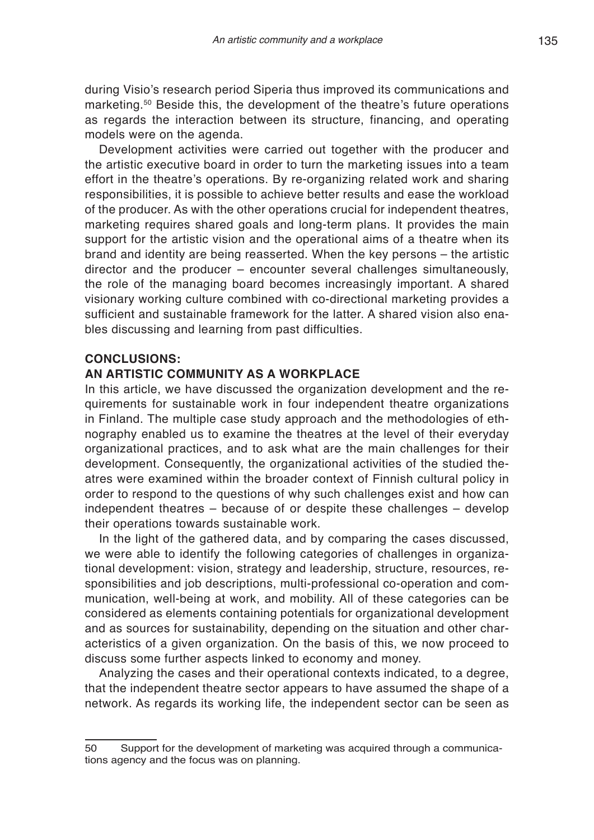during Visio's research period Siperia thus improved its communications and marketing.50 Beside this, the development of the theatre's future operations as regards the interaction between its structure, financing, and operating models were on the agenda.

Development activities were carried out together with the producer and the artistic executive board in order to turn the marketing issues into a team effort in the theatre's operations. By re-organizing related work and sharing responsibilities, it is possible to achieve better results and ease the workload of the producer. As with the other operations crucial for independent theatres, marketing requires shared goals and long-term plans. It provides the main support for the artistic vision and the operational aims of a theatre when its brand and identity are being reasserted. When the key persons – the artistic director and the producer – encounter several challenges simultaneously, the role of the managing board becomes increasingly important. A shared visionary working culture combined with co-directional marketing provides a sufficient and sustainable framework for the latter. A shared vision also enables discussing and learning from past difficulties.

### **CONCLUSIONS:**

### **AN ARTISTIC COMMUNITY AS A WORKPLACE**

In this article, we have discussed the organization development and the requirements for sustainable work in four independent theatre organizations in Finland. The multiple case study approach and the methodologies of ethnography enabled us to examine the theatres at the level of their everyday organizational practices, and to ask what are the main challenges for their development. Consequently, the organizational activities of the studied theatres were examined within the broader context of Finnish cultural policy in order to respond to the questions of why such challenges exist and how can independent theatres – because of or despite these challenges – develop their operations towards sustainable work.

In the light of the gathered data, and by comparing the cases discussed, we were able to identify the following categories of challenges in organizational development: vision, strategy and leadership, structure, resources, responsibilities and job descriptions, multi-professional co-operation and communication, well-being at work, and mobility. All of these categories can be considered as elements containing potentials for organizational development and as sources for sustainability, depending on the situation and other characteristics of a given organization. On the basis of this, we now proceed to discuss some further aspects linked to economy and money.

Analyzing the cases and their operational contexts indicated, to a degree, that the independent theatre sector appears to have assumed the shape of a network. As regards its working life, the independent sector can be seen as

<sup>50</sup> Support for the development of marketing was acquired through a communications agency and the focus was on planning.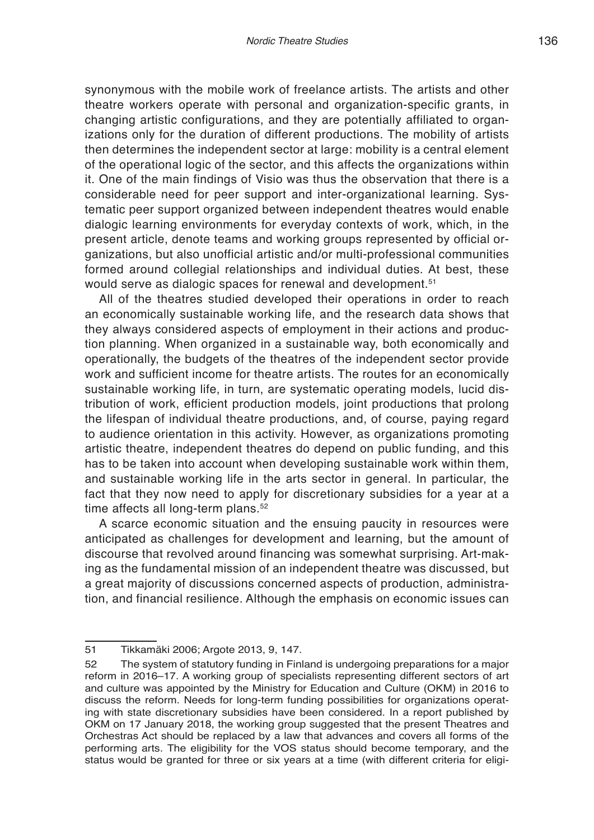synonymous with the mobile work of freelance artists. The artists and other theatre workers operate with personal and organization-specific grants, in changing artistic configurations, and they are potentially affiliated to organizations only for the duration of different productions. The mobility of artists then determines the independent sector at large: mobility is a central element of the operational logic of the sector, and this affects the organizations within it. One of the main findings of Visio was thus the observation that there is a considerable need for peer support and inter-organizational learning. Systematic peer support organized between independent theatres would enable dialogic learning environments for everyday contexts of work, which, in the present article, denote teams and working groups represented by official organizations, but also unofficial artistic and/or multi-professional communities formed around collegial relationships and individual duties. At best, these would serve as dialogic spaces for renewal and development.<sup>51</sup>

All of the theatres studied developed their operations in order to reach an economically sustainable working life, and the research data shows that they always considered aspects of employment in their actions and production planning. When organized in a sustainable way, both economically and operationally, the budgets of the theatres of the independent sector provide work and sufficient income for theatre artists. The routes for an economically sustainable working life, in turn, are systematic operating models, lucid distribution of work, efficient production models, joint productions that prolong the lifespan of individual theatre productions, and, of course, paying regard to audience orientation in this activity. However, as organizations promoting artistic theatre, independent theatres do depend on public funding, and this has to be taken into account when developing sustainable work within them, and sustainable working life in the arts sector in general. In particular, the fact that they now need to apply for discretionary subsidies for a year at a time affects all long-term plans.<sup>52</sup>

A scarce economic situation and the ensuing paucity in resources were anticipated as challenges for development and learning, but the amount of discourse that revolved around financing was somewhat surprising. Art-making as the fundamental mission of an independent theatre was discussed, but a great majority of discussions concerned aspects of production, administration, and financial resilience. Although the emphasis on economic issues can

<sup>51</sup> Tikkamäki 2006; Argote 2013, 9, 147.

<sup>52</sup> The system of statutory funding in Finland is undergoing preparations for a major reform in 2016–17. A working group of specialists representing different sectors of art and culture was appointed by the Ministry for Education and Culture (OKM) in 2016 to discuss the reform. Needs for long-term funding possibilities for organizations operating with state discretionary subsidies have been considered. In a report published by OKM on 17 January 2018, the working group suggested that the present Theatres and Orchestras Act should be replaced by a law that advances and covers all forms of the performing arts. The eligibility for the VOS status should become temporary, and the status would be granted for three or six years at a time (with different criteria for eligi-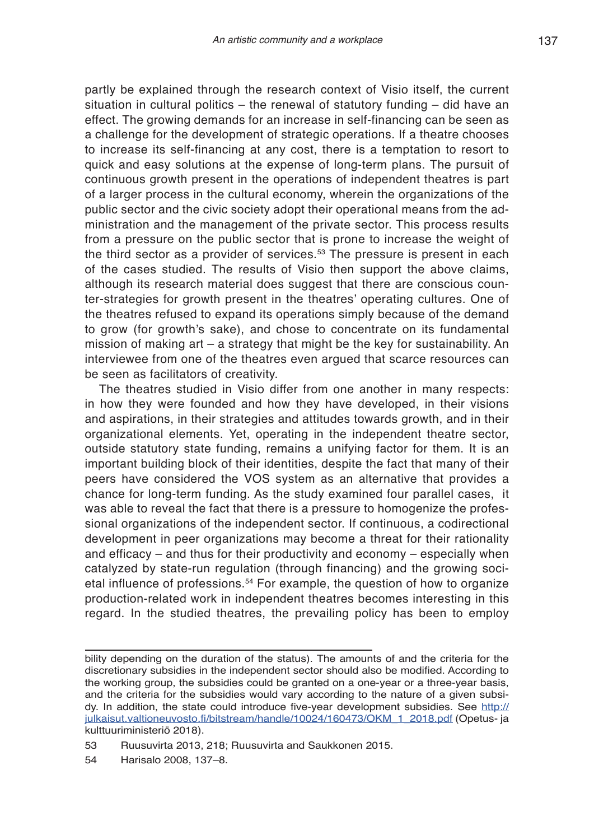partly be explained through the research context of Visio itself, the current situation in cultural politics – the renewal of statutory funding – did have an effect. The growing demands for an increase in self-financing can be seen as a challenge for the development of strategic operations. If a theatre chooses to increase its self-financing at any cost, there is a temptation to resort to quick and easy solutions at the expense of long-term plans. The pursuit of continuous growth present in the operations of independent theatres is part of a larger process in the cultural economy, wherein the organizations of the public sector and the civic society adopt their operational means from the administration and the management of the private sector. This process results from a pressure on the public sector that is prone to increase the weight of the third sector as a provider of services.<sup>53</sup> The pressure is present in each of the cases studied. The results of Visio then support the above claims, although its research material does suggest that there are conscious counter-strategies for growth present in the theatres' operating cultures. One of the theatres refused to expand its operations simply because of the demand to grow (for growth's sake), and chose to concentrate on its fundamental mission of making art – a strategy that might be the key for sustainability. An interviewee from one of the theatres even argued that scarce resources can be seen as facilitators of creativity.

The theatres studied in Visio differ from one another in many respects: in how they were founded and how they have developed, in their visions and aspirations, in their strategies and attitudes towards growth, and in their organizational elements. Yet, operating in the independent theatre sector, outside statutory state funding, remains a unifying factor for them. It is an important building block of their identities, despite the fact that many of their peers have considered the VOS system as an alternative that provides a chance for long-term funding. As the study examined four parallel cases, it was able to reveal the fact that there is a pressure to homogenize the professional organizations of the independent sector. If continuous, a codirectional development in peer organizations may become a threat for their rationality and efficacy – and thus for their productivity and economy – especially when catalyzed by state-run regulation (through financing) and the growing societal influence of professions.54 For example, the question of how to organize production-related work in independent theatres becomes interesting in this regard. In the studied theatres, the prevailing policy has been to employ

bility depending on the duration of the status). The amounts of and the criteria for the discretionary subsidies in the independent sector should also be modified. According to the working group, the subsidies could be granted on a one-year or a three-year basis, and the criteria for the subsidies would vary according to the nature of a given subsidy. In addition, the state could introduce five-year development subsidies. See http:// julkaisut.valtioneuvosto.fi/bitstream/handle/10024/160473/OKM\_1\_2018.pdf (Opetus- ja kulttuuriministeriö 2018).

<sup>53</sup> Ruusuvirta 2013, 218; Ruusuvirta and Saukkonen 2015.

<sup>54</sup> Harisalo 2008, 137–8.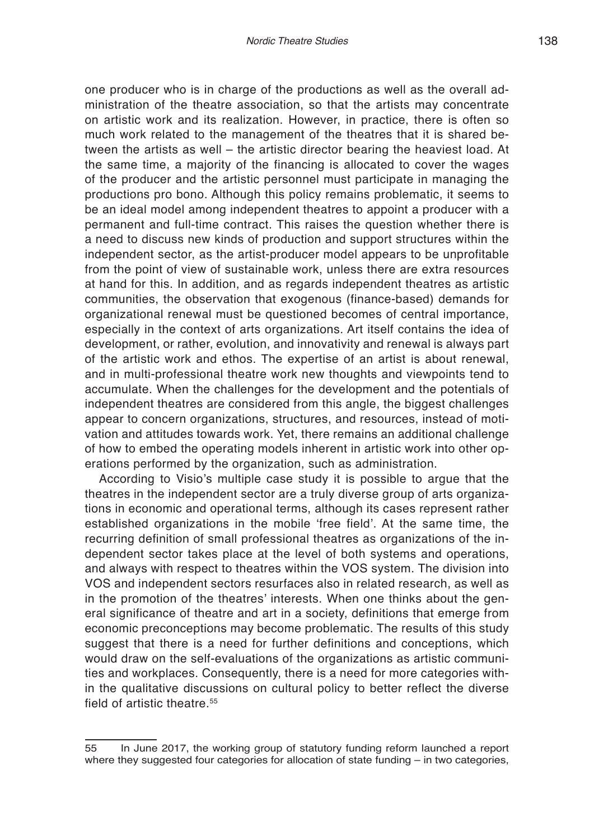one producer who is in charge of the productions as well as the overall administration of the theatre association, so that the artists may concentrate on artistic work and its realization. However, in practice, there is often so much work related to the management of the theatres that it is shared between the artists as well – the artistic director bearing the heaviest load. At the same time, a majority of the financing is allocated to cover the wages of the producer and the artistic personnel must participate in managing the productions pro bono. Although this policy remains problematic, it seems to be an ideal model among independent theatres to appoint a producer with a permanent and full-time contract. This raises the question whether there is a need to discuss new kinds of production and support structures within the independent sector, as the artist-producer model appears to be unprofitable from the point of view of sustainable work, unless there are extra resources at hand for this. In addition, and as regards independent theatres as artistic communities, the observation that exogenous (finance-based) demands for organizational renewal must be questioned becomes of central importance, especially in the context of arts organizations. Art itself contains the idea of development, or rather, evolution, and innovativity and renewal is always part of the artistic work and ethos. The expertise of an artist is about renewal, and in multi-professional theatre work new thoughts and viewpoints tend to accumulate. When the challenges for the development and the potentials of independent theatres are considered from this angle, the biggest challenges appear to concern organizations, structures, and resources, instead of motivation and attitudes towards work. Yet, there remains an additional challenge of how to embed the operating models inherent in artistic work into other operations performed by the organization, such as administration.

According to Visio's multiple case study it is possible to argue that the theatres in the independent sector are a truly diverse group of arts organizations in economic and operational terms, although its cases represent rather established organizations in the mobile 'free field'. At the same time, the recurring definition of small professional theatres as organizations of the independent sector takes place at the level of both systems and operations, and always with respect to theatres within the VOS system. The division into VOS and independent sectors resurfaces also in related research, as well as in the promotion of the theatres' interests. When one thinks about the general significance of theatre and art in a society, definitions that emerge from economic preconceptions may become problematic. The results of this study suggest that there is a need for further definitions and conceptions, which would draw on the self-evaluations of the organizations as artistic communities and workplaces. Consequently, there is a need for more categories within the qualitative discussions on cultural policy to better reflect the diverse field of artistic theatre.<sup>55</sup>

<sup>55</sup> In June 2017, the working group of statutory funding reform launched a report where they suggested four categories for allocation of state funding – in two categories,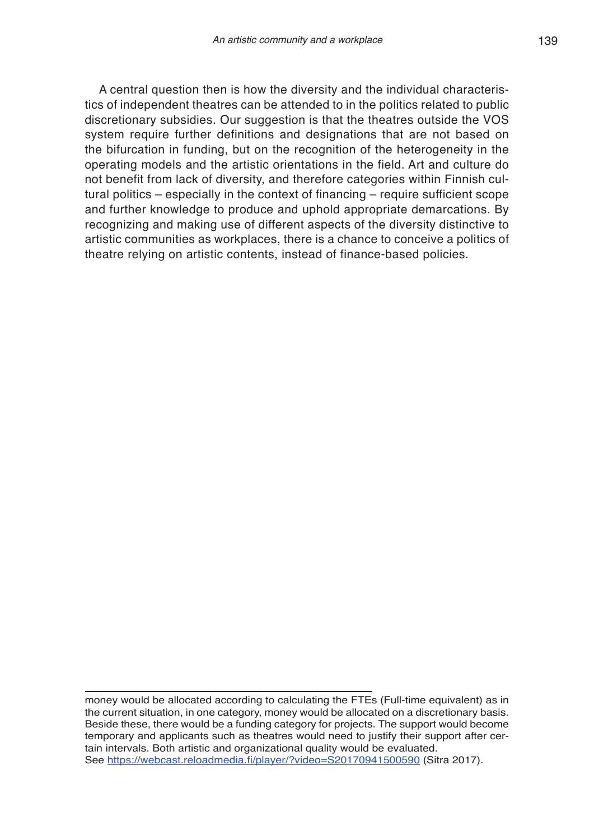A central question then is how the diversity and the individual characteristics of independent theatres can be attended to in the politics related to public discretionary subsidies. Our suggestion is that the theatres outside the VOS system require further definitions and designations that are not based on the bifurcation in funding, but on the recognition of the heterogeneity in the operating models and the artistic orientations in the field. Art and culture do not benefit from lack of diversity, and therefore categories within Finnish cultural politics – especially in the context of financing – require sufficient scope and further knowledge to produce and uphold appropriate demarcations. By recognizing and making use of different aspects of the diversity distinctive to artistic communities as workplaces, there is a chance to conceive a politics of theatre relying on artistic contents, instead of finance-based policies.

money would be allocated according to calculating the FTEs (Full-time equivalent) as in the current situation, in one category, money would be allocated on a discretionary basis. Beside these, there would be a funding category for projects. The support would become temporary and applicants such as theatres would need to justify their support after certain intervals. Both artistic and organizational quality would be evaluated. See https://webcast.reloadmedia.fi/player/?video=S20170941500590 (Sitra 2017).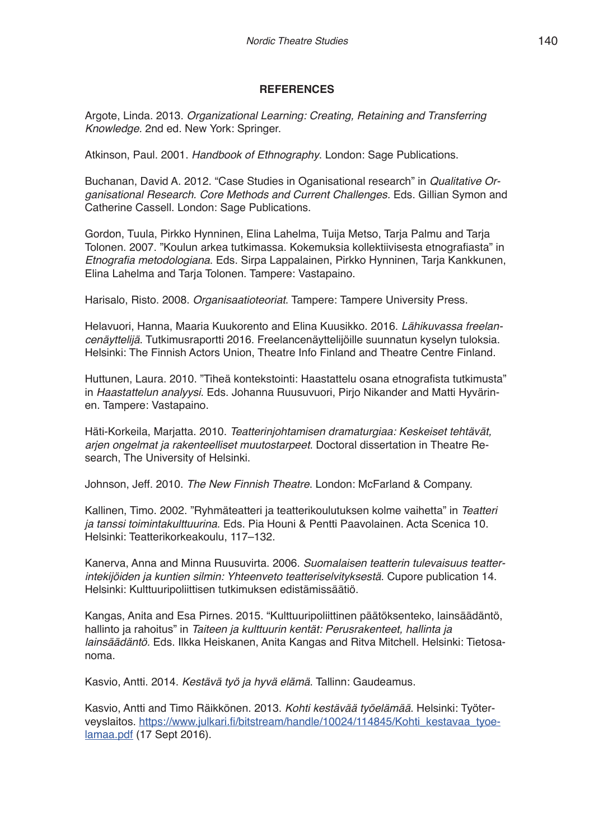#### **REFERENCES**

Argote, Linda. 2013. *Organizational Learning: Creating, Retaining and Transferring Knowledge.* 2nd ed. New York: Springer.

Atkinson, Paul. 2001. *Handbook of Ethnography*. London: Sage Publications.

Buchanan, David A. 2012. "Case Studies in Oganisational research" in *Qualitative Organisational Research. Core Methods and Current Challenges.* Eds. Gillian Symon and Catherine Cassell. London: Sage Publications.

Gordon, Tuula, Pirkko Hynninen, Elina Lahelma, Tuija Metso, Tarja Palmu and Tarja Tolonen. 2007. "Koulun arkea tutkimassa. Kokemuksia kollektiivisesta etnografiasta" in Etnografia metodologiana. Eds. Sirpa Lappalainen, Pirkko Hynninen, Tarja Kankkunen, Elina Lahelma and Tarja Tolonen. Tampere: Vastapaino.

Harisalo, Risto. 2008. *Organisaatioteoriat*. Tampere: Tampere University Press.

Helavuori, Hanna, Maaria Kuukorento and Elina Kuusikko. 2016. *Lähikuvassa freelancenäyttelijä*. Tutkimusraportti 2016. Freelancenäyttelijöille suunnatun kyselyn tuloksia. Helsinki: The Finnish Actors Union, Theatre Info Finland and Theatre Centre Finland.

Huttunen, Laura. 2010. "Tiheä kontekstointi: Haastattelu osana etnografista tutkimusta" in *Haastattelun analyysi*. Eds. Johanna Ruusuvuori, Pirjo Nikander and Matti Hyvärinen. Tampere: Vastapaino.

Häti-Korkeila, Marjatta. 2010. *Teatterinjohtamisen dramaturgiaa: Keskeiset tehtävät, arjen ongelmat ja rakenteelliset muutostarpeet*. Doctoral dissertation in Theatre Research, The University of Helsinki.

Johnson, Jeff. 2010. *The New Finnish Theatre*. London: McFarland & Company.

Kallinen, Timo. 2002. "Ryhmäteatteri ja teatterikoulutuksen kolme vaihetta" in *Teatteri ja tanssi toimintakulttuurina*. Eds. Pia Houni & Pentti Paavolainen. Acta Scenica 10. Helsinki: Teatterikorkeakoulu, 117–132.

Kanerva, Anna and Minna Ruusuvirta. 2006. *Suomalaisen teatterin tulevaisuus teatterintekijöiden ja kuntien silmin: Yhteenveto teatteriselvityksestä*. Cupore publication 14. Helsinki: Kulttuuripoliittisen tutkimuksen edistämissäätiö.

Kangas, Anita and Esa Pirnes. 2015. "Kulttuuripoliittinen päätöksenteko, lainsäädäntö, hallinto ja rahoitus" in *Taiteen ja kulttuurin kentät: Perusrakenteet, hallinta ja lainsäädäntö.* Eds. Ilkka Heiskanen, Anita Kangas and Ritva Mitchell. Helsinki: Tietosanoma.

Kasvio, Antti. 2014. *Kestävä työ ja hyvä elämä*. Tallinn: Gaudeamus.

Kasvio, Antti and Timo Räikkönen. 2013. *Kohti kestävää työelämää*. Helsinki: Työterveyslaitos. https://www.julkari.fi/bitstream/handle/10024/114845/Kohti\_kestavaa\_tyoelamaa.pdf (17 Sept 2016).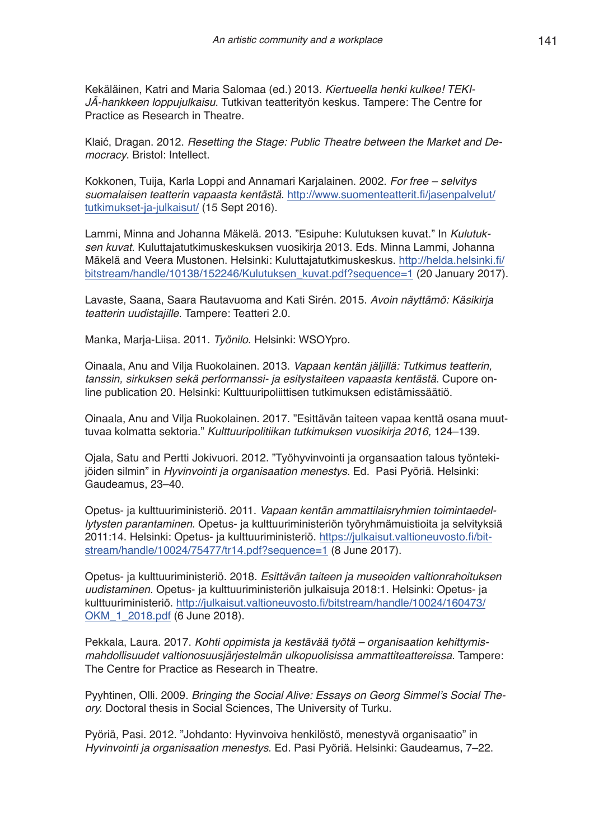Kekäläinen, Katri and Maria Salomaa (ed.) 2013. *Kiertueella henki kulkee! TEKI-JÄ-hankkeen loppujulkaisu*. Tutkivan teatterityön keskus. Tampere: The Centre for Practice as Research in Theatre.

Klaić, Dragan. 2012. *Resetting the Stage: Public Theatre between the Market and Democracy*. Bristol: Intellect.

Kokkonen, Tuija, Karla Loppi and Annamari Karjalainen. 2002. *For free – selvitys suomalaisen teatterin vapaasta kentästä*. http://www.suomenteatterit.fi/jasenpalvelut/ tutkimukset-ja-julkaisut/ (15 Sept 2016).

Lammi, Minna and Johanna Mäkelä. 2013. "Esipuhe: Kulutuksen kuvat." In *Kulutuksen kuvat.* Kuluttajatutkimuskeskuksen vuosikirja 2013. Eds. Minna Lammi, Johanna Mäkelä and Veera Mustonen. Helsinki: Kuluttajatutkimuskeskus. http://helda.helsinki.fi/ bitstream/handle/10138/152246/Kulutuksen\_kuvat.pdf?sequence=1 (20 January 2017).

Lavaste, Saana, Saara Rautavuoma and Kati Sirén. 2015. *Avoin näyttämö: Käsikirja teatterin uudistajille.* Tampere: Teatteri 2.0.

Manka, Marja-Liisa. 2011. *Työnilo*. Helsinki: WSOYpro.

Oinaala, Anu and Vilja Ruokolainen. 2013. *Vapaan kentän jäljillä: Tutkimus teatterin, tanssin, sirkuksen sekä performanssi- ja esitystaiteen vapaasta kentästä*. Cupore online publication 20. Helsinki: Kulttuuripoliittisen tutkimuksen edistämissäätiö.

Oinaala, Anu and Vilja Ruokolainen. 2017. "Esittävän taiteen vapaa kenttä osana muuttuvaa kolmatta sektoria." *Kulttuuripolitiikan tutkimuksen vuosikirja 2016,* 124–139.

Ojala, Satu and Pertti Jokivuori. 2012. "Työhyvinvointi ja organsaation talous työntekijöiden silmin" in *Hyvinvointi ja organisaation menestys*. Ed. Pasi Pyöriä. Helsinki: Gaudeamus, 23–40.

Opetus- ja kulttuuriministeriö. 2011. *Vapaan kentän ammattilaisryhmien toimintaedellytysten parantaminen*. Opetus- ja kulttuuriministeriön työryhmämuistioita ja selvityksiä 2011:14. Helsinki: Opetus- ja kulttuuriministeriö. https://julkaisut.valtioneuvosto.fi/bitstream/handle/10024/75477/tr14.pdf?sequence=1 (8 June 2017).

Opetus- ja kulttuuriministeriö. 2018. *Esittävän taiteen ja museoiden valtionrahoituksen uudistaminen.* Opetus- ja kulttuuriministeriön julkaisuja 2018:1. Helsinki: Opetus- ja kulttuuriministeriö. http://julkaisut.valtioneuvosto.fi/bitstream/handle/10024/160473/ OKM\_1\_2018.pdf (6 June 2018).

Pekkala, Laura. 2017. *Kohti oppimista ja kestävää työtä – organisaation kehittymismahdollisuudet valtionosuusjärjestelmän ulkopuolisissa ammattiteattereissa.* Tampere: The Centre for Practice as Research in Theatre.

Pyyhtinen, Olli. 2009. Bringing the Social Alive: Essays on Georg Simmel's Social The*ory.* Doctoral thesis in Social Sciences, The University of Turku.

Pyöriä, Pasi. 2012. "Johdanto: Hyvinvoiva henkilöstö, menestyvä organisaatio" in *Hyvinvointi ja organisaation menestys*. Ed. Pasi Pyöriä. Helsinki: Gaudeamus, 7–22.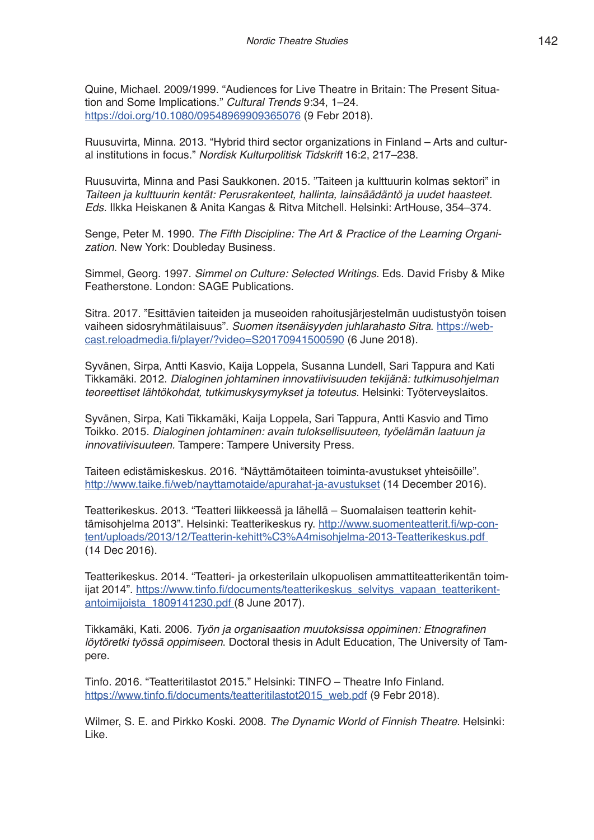Quine, Michael. 2009/1999. "Audiences for Live Theatre in Britain: The Present Situation and Some Implications." *Cultural Trends* 9:34, 1–24. https://doi.org/10.1080/09548969909365076 (9 Febr 2018).

Ruusuvirta, Minna. 2013. "Hybrid third sector organizations in Finland – Arts and cultural institutions in focus." *Nordisk Kulturpolitisk Tidskrift* 16:2, 217–238.

Ruusuvirta, Minna and Pasi Saukkonen. 2015. "Taiteen ja kulttuurin kolmas sektori" in *Taiteen ja kulttuurin kentät: Perusrakenteet, hallinta, lainsäädäntö ja uudet haasteet. Eds.* Ilkka Heiskanen & Anita Kangas & Ritva Mitchell. Helsinki: ArtHouse, 354–374.

Senge, Peter M. 1990. *The Fifth Discipline: The Art & Practice of the Learning Organization*. New York: Doubleday Business.

Simmel, Georg. 1997. *Simmel on Culture: Selected Writings.* Eds. David Frisby & Mike Featherstone. London: SAGE Publications.

Sitra. 2017. "Esittävien taiteiden ja museoiden rahoitusjärjestelmän uudistustyön toisen vaiheen sidosryhmätilaisuus". *Suomen itsenäisyyden juhlarahasto Sitra*. https://webcast.reloadmedia.fi/player/?video=S20170941500590 (6 June 2018).

Syvänen, Sirpa, Antti Kasvio, Kaija Loppela, Susanna Lundell, Sari Tappura and Kati Tikkamäki. 2012. *Dialoginen johtaminen innovatiivisuuden tekijänä: tutkimusohjelman teoreettiset lähtökohdat, tutkimuskysymykset ja toteutus*. Helsinki: Työterveyslaitos.

Syvänen, Sirpa, Kati Tikkamäki, Kaija Loppela, Sari Tappura, Antti Kasvio and Timo Toikko. 2015. *Dialoginen johtaminen: avain tuloksellisuuteen, työelämän laatuun ja innovatiivisuuteen.* Tampere: Tampere University Press.

Taiteen edistämiskeskus. 2016. "Näyttämötaiteen toiminta-avustukset yhteisöille". http://www.taike.fi/web/nayttamotaide/apurahat-ja-avustukset (14 December 2016).

Teatterikeskus. 2013. "Teatteri liikkeessä ja lähellä – Suomalaisen teatterin kehittämisohjelma 2013". Helsinki: Teatterikeskus ry. http://www.suomenteatterit.fi/wp-content/uploads/2013/12/Teatterin-kehitt%C3%A4misohjelma-2013-Teatterikeskus.pdf (14 Dec 2016).

Teatterikeskus. 2014. "Teatteri- ja orkesterilain ulkopuolisen ammattiteatterikentän toimijat 2014". https://www.tinfo.fi/documents/teatterikeskus\_selvitys\_vapaan\_teatterikentantoimijoista\_1809141230.pdf (8 June 2017).

Tikkamäki, Kati. 2006. Työn ja organisaation muutoksissa oppiminen: Etnografinen *löytöretki työssä oppimiseen*. Doctoral thesis in Adult Education, The University of Tampere.

Tinfo. 2016. "Teatteritilastot 2015." Helsinki: TINFO – Theatre Info Finland. https://www.tinfo.fi/documents/teatteritilastot2015\_web.pdf (9 Febr 2018).

Wilmer, S. E. and Pirkko Koski. 2008. *The Dynamic World of Finnish Theatre*. Helsinki: Like.